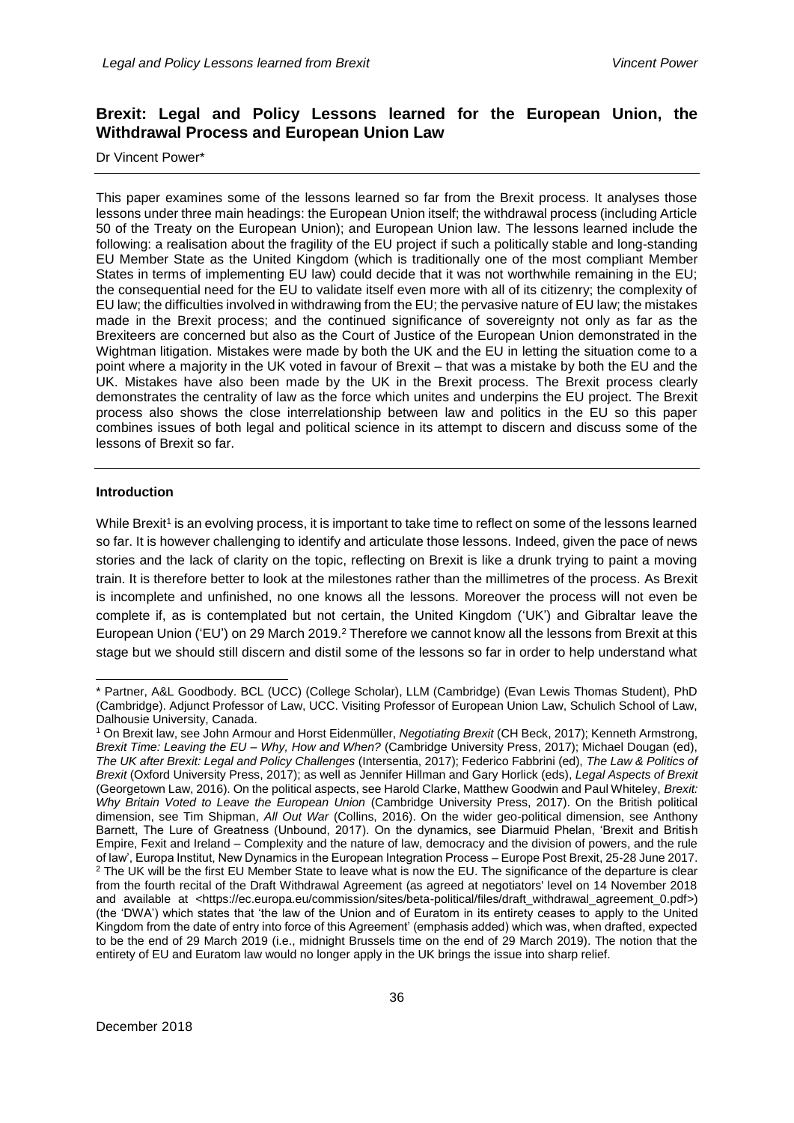# **Brexit: Legal and Policy Lessons learned for the European Union, the Withdrawal Process and European Union Law**

## Dr Vincent Power\*

This paper examines some of the lessons learned so far from the Brexit process. It analyses those lessons under three main headings: the European Union itself; the withdrawal process (including Article 50 of the Treaty on the European Union); and European Union law. The lessons learned include the following: a realisation about the fragility of the EU project if such a politically stable and long-standing EU Member State as the United Kingdom (which is traditionally one of the most compliant Member States in terms of implementing EU law) could decide that it was not worthwhile remaining in the EU; the consequential need for the EU to validate itself even more with all of its citizenry; the complexity of EU law; the difficulties involved in withdrawing from the EU; the pervasive nature of EU law; the mistakes made in the Brexit process; and the continued significance of sovereignty not only as far as the Brexiteers are concerned but also as the Court of Justice of the European Union demonstrated in the Wightman litigation. Mistakes were made by both the UK and the EU in letting the situation come to a point where a majority in the UK voted in favour of Brexit – that was a mistake by both the EU and the UK. Mistakes have also been made by the UK in the Brexit process. The Brexit process clearly demonstrates the centrality of law as the force which unites and underpins the EU project. The Brexit process also shows the close interrelationship between law and politics in the EU so this paper combines issues of both legal and political science in its attempt to discern and discuss some of the lessons of Brexit so far.

## **Introduction**

While Brexit<sup>1</sup> is an evolving process, it is important to take time to reflect on some of the lessons learned so far. It is however challenging to identify and articulate those lessons. Indeed, given the pace of news stories and the lack of clarity on the topic, reflecting on Brexit is like a drunk trying to paint a moving train. It is therefore better to look at the milestones rather than the millimetres of the process. As Brexit is incomplete and unfinished, no one knows all the lessons. Moreover the process will not even be complete if, as is contemplated but not certain, the United Kingdom ('UK') and Gibraltar leave the European Union ('EU') on 29 March 2019.<sup>2</sup> Therefore we cannot know all the lessons from Brexit at this stage but we should still discern and distil some of the lessons so far in order to help understand what

<sup>-</sup>\* Partner, A&L Goodbody. BCL (UCC) (College Scholar), LLM (Cambridge) (Evan Lewis Thomas Student), PhD (Cambridge). Adjunct Professor of Law, UCC. Visiting Professor of European Union Law, Schulich School of Law, Dalhousie University, Canada.

<sup>1</sup> On Brexit law, see John Armour and Horst Eidenmüller, *Negotiating Brexit* (CH Beck, 2017); Kenneth Armstrong, *Brexit Time: Leaving the EU – Why, How and When?* (Cambridge University Press, 2017); Michael Dougan (ed), *The UK after Brexit: Legal and Policy Challenges* (Intersentia, 2017); Federico Fabbrini (ed), *The Law & Politics of Brexit* (Oxford University Press, 2017); as well as Jennifer Hillman and Gary Horlick (eds), *Legal Aspects of Brexit* (Georgetown Law, 2016). On the political aspects, see Harold Clarke, Matthew Goodwin and Paul Whiteley, *Brexit: Why Britain Voted to Leave the European Union* (Cambridge University Press, 2017). On the British political dimension, see Tim Shipman, *All Out War* (Collins, 2016). On the wider geo-political dimension, see Anthony Barnett, The Lure of Greatness (Unbound, 2017). On the dynamics, see Diarmuid Phelan, 'Brexit and British Empire, Fexit and Ireland – Complexity and the nature of law, democracy and the division of powers, and the rule of law', Europa Institut, New Dynamics in the European Integration Process – Europe Post Brexit, 25-28 June 2017. <sup>2</sup> The UK will be the first EU Member State to leave what is now the EU. The significance of the departure is clear from the fourth recital of the Draft Withdrawal Agreement (as agreed at negotiators' level on 14 November 2018 and available at [<https://ec.europa.eu/commission/sites/beta-political/files/draft\\_withdrawal\\_agreement\\_0.pdf>](https://ec.europa.eu/commission/sites/beta-political/files/draft_withdrawal_agreement_0.pdf)) (the 'DWA') which states that 'the law of the Union and of Euratom in its entirety ceases to apply to the United Kingdom from the date of entry into force of this Agreement' (emphasis added) which was, when drafted, expected to be the end of 29 March 2019 (i.e., midnight Brussels time on the end of 29 March 2019). The notion that the entirety of EU and Euratom law would no longer apply in the UK brings the issue into sharp relief.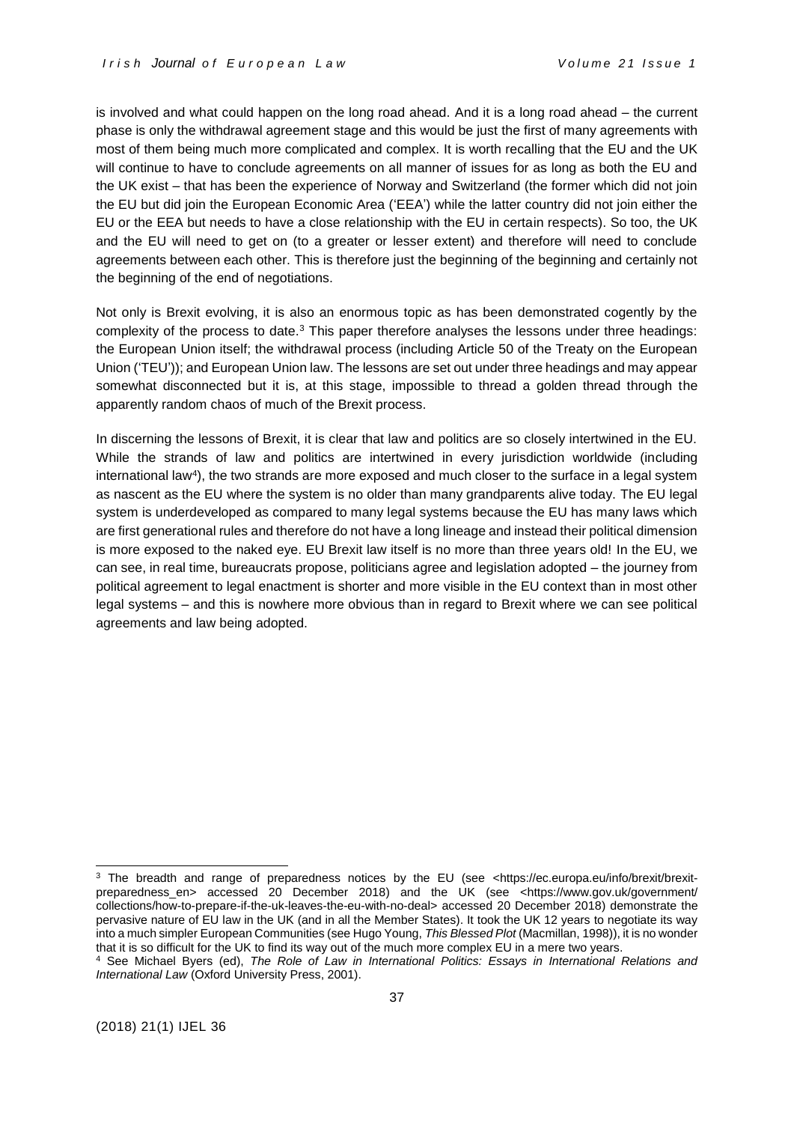is involved and what could happen on the long road ahead. And it is a long road ahead – the current phase is only the withdrawal agreement stage and this would be just the first of many agreements with most of them being much more complicated and complex. It is worth recalling that the EU and the UK will continue to have to conclude agreements on all manner of issues for as long as both the EU and the UK exist – that has been the experience of Norway and Switzerland (the former which did not join the EU but did join the European Economic Area ('EEA') while the latter country did not join either the EU or the EEA but needs to have a close relationship with the EU in certain respects). So too, the UK and the EU will need to get on (to a greater or lesser extent) and therefore will need to conclude agreements between each other. This is therefore just the beginning of the beginning and certainly not the beginning of the end of negotiations.

Not only is Brexit evolving, it is also an enormous topic as has been demonstrated cogently by the complexity of the process to date.<sup>3</sup> This paper therefore analyses the lessons under three headings: the European Union itself; the withdrawal process (including Article 50 of the Treaty on the European Union ('TEU')); and European Union law. The lessons are set out under three headings and may appear somewhat disconnected but it is, at this stage, impossible to thread a golden thread through the apparently random chaos of much of the Brexit process.

In discerning the lessons of Brexit, it is clear that law and politics are so closely intertwined in the EU. While the strands of law and politics are intertwined in every jurisdiction worldwide (including international law<sup>4</sup>), the two strands are more exposed and much closer to the surface in a legal system as nascent as the EU where the system is no older than many grandparents alive today. The EU legal system is underdeveloped as compared to many legal systems because the EU has many laws which are first generational rules and therefore do not have a long lineage and instead their political dimension is more exposed to the naked eye. EU Brexit law itself is no more than three years old! In the EU, we can see, in real time, bureaucrats propose, politicians agree and legislation adopted – the journey from political agreement to legal enactment is shorter and more visible in the EU context than in most other legal systems – and this is nowhere more obvious than in regard to Brexit where we can see political agreements and law being adopted.

<sup>&</sup>lt;sup>3</sup> The breadth and range of preparedness notices by the EU (see [<https://ec.europa.eu/info/brexit/brexit](https://ec.europa.eu/info/brexit/brexit-preparedness_en)[preparedness\\_en>](https://ec.europa.eu/info/brexit/brexit-preparedness_en) accessed 20 December 2018) and the UK (see <https://www.gov.uk/government/ collections/how-to-prepare-if-the-uk-leaves-the-eu-with-no-deal> accessed 20 December 2018) demonstrate the pervasive nature of EU law in the UK (and in all the Member States). It took the UK 12 years to negotiate its way into a much simpler European Communities (see Hugo Young, *This Blessed Plot* (Macmillan, 1998)), it is no wonder that it is so difficult for the UK to find its way out of the much more complex EU in a mere two years.

<sup>4</sup> See Michael Byers (ed), *The Role of Law in International Politics: Essays in International Relations and International Law* (Oxford University Press, 2001).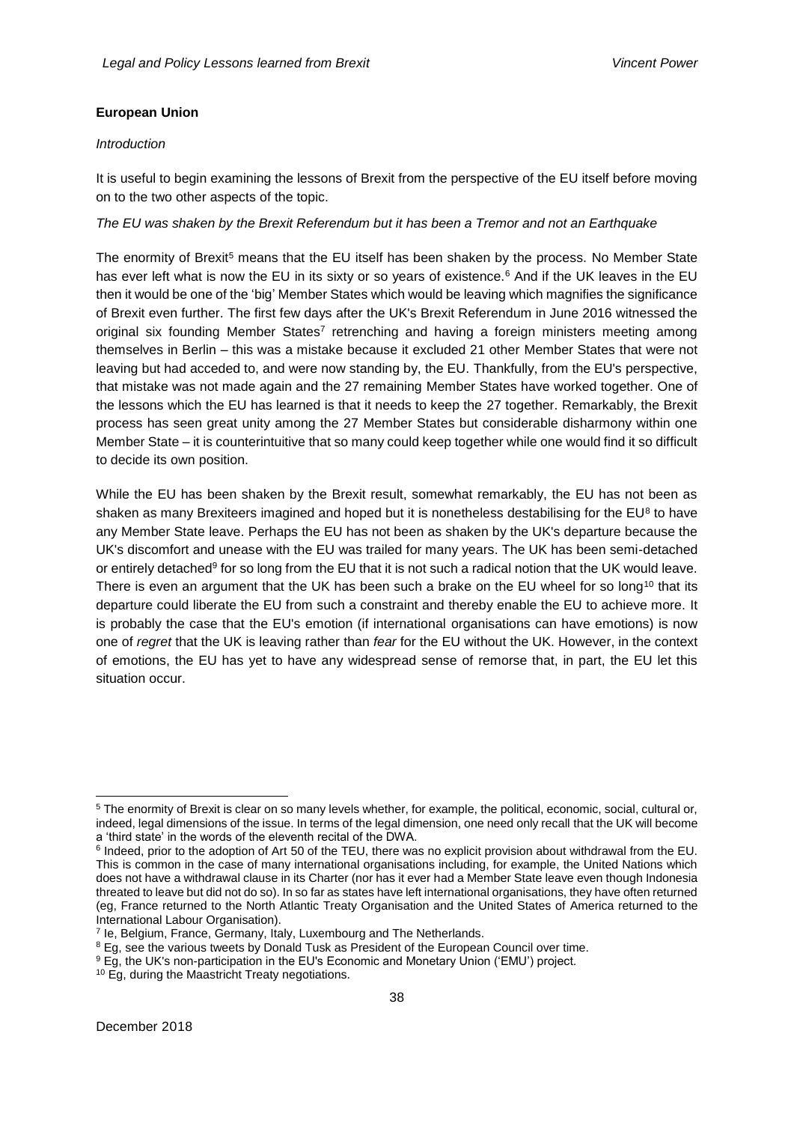## **European Union**

## *Introduction*

It is useful to begin examining the lessons of Brexit from the perspective of the EU itself before moving on to the two other aspects of the topic.

### *The EU was shaken by the Brexit Referendum but it has been a Tremor and not an Earthquake*

The enormity of Brexit<sup>5</sup> means that the EU itself has been shaken by the process. No Member State has ever left what is now the EU in its sixty or so years of existence.<sup>6</sup> And if the UK leaves in the EU then it would be one of the 'big' Member States which would be leaving which magnifies the significance of Brexit even further. The first few days after the UK's Brexit Referendum in June 2016 witnessed the original six founding Member States<sup>7</sup> retrenching and having a foreign ministers meeting among themselves in Berlin – this was a mistake because it excluded 21 other Member States that were not leaving but had acceded to, and were now standing by, the EU. Thankfully, from the EU's perspective, that mistake was not made again and the 27 remaining Member States have worked together. One of the lessons which the EU has learned is that it needs to keep the 27 together. Remarkably, the Brexit process has seen great unity among the 27 Member States but considerable disharmony within one Member State – it is counterintuitive that so many could keep together while one would find it so difficult to decide its own position.

While the EU has been shaken by the Brexit result, somewhat remarkably, the EU has not been as shaken as many Brexiteers imagined and hoped but it is nonetheless destabilising for the  $EU^8$  to have any Member State leave. Perhaps the EU has not been as shaken by the UK's departure because the UK's discomfort and unease with the EU was trailed for many years. The UK has been semi-detached or entirely detached<sup>9</sup> for so long from the EU that it is not such a radical notion that the UK would leave. There is even an argument that the UK has been such a brake on the EU wheel for so long<sup>10</sup> that its departure could liberate the EU from such a constraint and thereby enable the EU to achieve more. It is probably the case that the EU's emotion (if international organisations can have emotions) is now one of *regret* that the UK is leaving rather than *fear* for the EU without the UK. However, in the context of emotions, the EU has yet to have any widespread sense of remorse that, in part, the EU let this situation occur.

<sup>5</sup> The enormity of Brexit is clear on so many levels whether, for example, the political, economic, social, cultural or, indeed, legal dimensions of the issue. In terms of the legal dimension, one need only recall that the UK will become a 'third state' in the words of the eleventh recital of the DWA.

<sup>&</sup>lt;sup>6</sup> Indeed, prior to the adoption of Art 50 of the TEU, there was no explicit provision about withdrawal from the EU. This is common in the case of many international organisations including, for example, the United Nations which does not have a withdrawal clause in its Charter (nor has it ever had a Member State leave even though Indonesia threated to leave but did not do so). In so far as states have left international organisations, they have often returned (eg, France returned to the North Atlantic Treaty Organisation and the United States of America returned to the International Labour Organisation).

<sup>&</sup>lt;sup>7</sup> le, Belgium, France, Germany, Italy, Luxembourg and The Netherlands.

<sup>&</sup>lt;sup>8</sup> Eg, see the various tweets by Donald Tusk as President of the European Council over time.

<sup>&</sup>lt;sup>9</sup> Eg, the UK's non-participation in the EU's Economic and Monetary Union ('EMU') project.

<sup>&</sup>lt;sup>10</sup> Eg, during the Maastricht Treaty negotiations.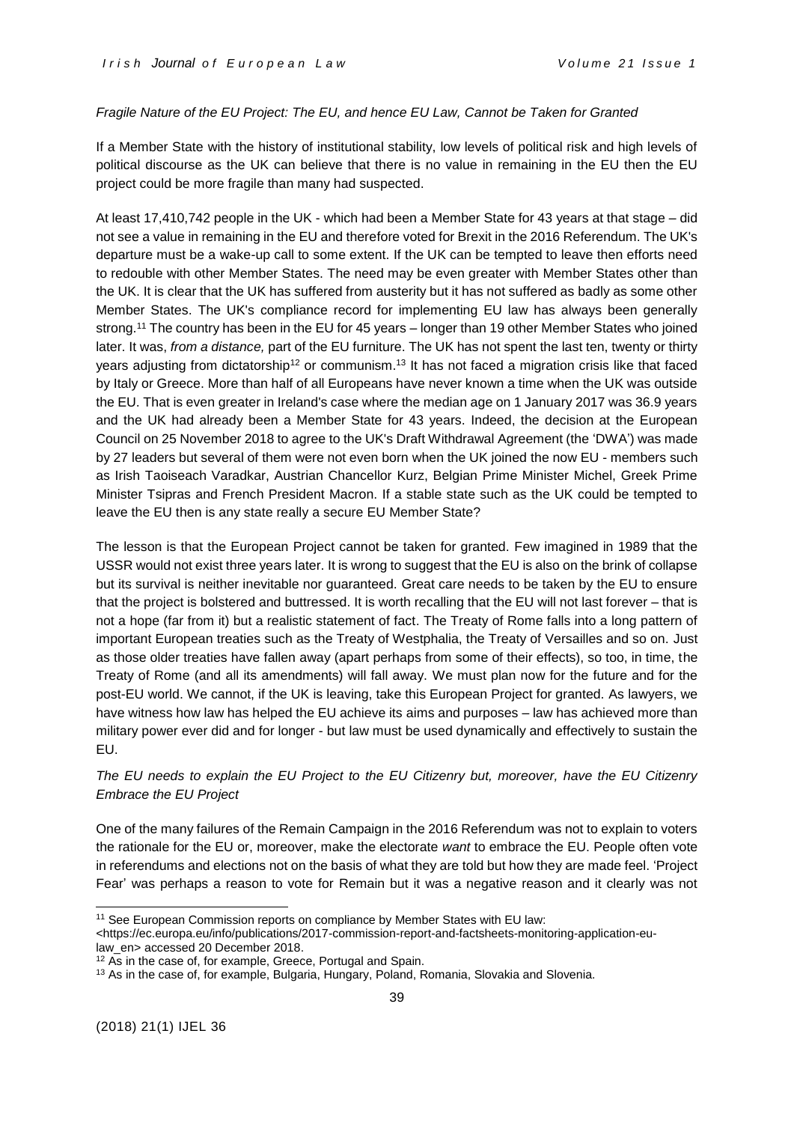#### *Fragile Nature of the EU Project: The EU, and hence EU Law, Cannot be Taken for Granted*

If a Member State with the history of institutional stability, low levels of political risk and high levels of political discourse as the UK can believe that there is no value in remaining in the EU then the EU project could be more fragile than many had suspected.

At least 17,410,742 people in the UK - which had been a Member State for 43 years at that stage – did not see a value in remaining in the EU and therefore voted for Brexit in the 2016 Referendum. The UK's departure must be a wake-up call to some extent. If the UK can be tempted to leave then efforts need to redouble with other Member States. The need may be even greater with Member States other than the UK. It is clear that the UK has suffered from austerity but it has not suffered as badly as some other Member States. The UK's compliance record for implementing EU law has always been generally strong.<sup>11</sup> The country has been in the EU for 45 years – longer than 19 other Member States who joined later. It was, *from a distance,* part of the EU furniture. The UK has not spent the last ten, twenty or thirty years adjusting from dictatorship<sup>12</sup> or communism.<sup>13</sup> It has not faced a migration crisis like that faced by Italy or Greece. More than half of all Europeans have never known a time when the UK was outside the EU. That is even greater in Ireland's case where the median age on 1 January 2017 was 36.9 years and the UK had already been a Member State for 43 years. Indeed, the decision at the European Council on 25 November 2018 to agree to the UK's Draft Withdrawal Agreement (the 'DWA') was made by 27 leaders but several of them were not even born when the UK joined the now EU - members such as Irish Taoiseach Varadkar, Austrian Chancellor Kurz, Belgian Prime Minister Michel, Greek Prime Minister Tsipras and French President Macron. If a stable state such as the UK could be tempted to leave the EU then is any state really a secure EU Member State?

The lesson is that the European Project cannot be taken for granted. Few imagined in 1989 that the USSR would not exist three years later. It is wrong to suggest that the EU is also on the brink of collapse but its survival is neither inevitable nor guaranteed. Great care needs to be taken by the EU to ensure that the project is bolstered and buttressed. It is worth recalling that the EU will not last forever – that is not a hope (far from it) but a realistic statement of fact. The Treaty of Rome falls into a long pattern of important European treaties such as the Treaty of Westphalia, the Treaty of Versailles and so on. Just as those older treaties have fallen away (apart perhaps from some of their effects), so too, in time, the Treaty of Rome (and all its amendments) will fall away. We must plan now for the future and for the post-EU world. We cannot, if the UK is leaving, take this European Project for granted. As lawyers, we have witness how law has helped the EU achieve its aims and purposes – law has achieved more than military power ever did and for longer - but law must be used dynamically and effectively to sustain the EU.

## *The EU needs to explain the EU Project to the EU Citizenry but, moreover, have the EU Citizenry Embrace the EU Project*

One of the many failures of the Remain Campaign in the 2016 Referendum was not to explain to voters the rationale for the EU or, moreover, make the electorate *want* to embrace the EU. People often vote in referendums and elections not on the basis of what they are told but how they are made feel. 'Project Fear' was perhaps a reason to vote for Remain but it was a negative reason and it clearly was not

<sup>&</sup>lt;sup>11</sup> See European Commission reports on compliance by Member States with EU law:

[<sup>&</sup>lt;https://ec.europa.eu/info/publications/2017-commission-report-and-factsheets-monitoring-application-eu-](https://ec.europa.eu/info/publications/2017-commission-report-and-factsheets-monitoring-application-eu-law_en)

[law\\_en>](https://ec.europa.eu/info/publications/2017-commission-report-and-factsheets-monitoring-application-eu-law_en) accessed 20 December 2018.

<sup>&</sup>lt;sup>12</sup> As in the case of, for example, Greece, Portugal and Spain.

<sup>&</sup>lt;sup>13</sup> As in the case of, for example, Bulgaria, Hungary, Poland, Romania, Slovakia and Slovenia.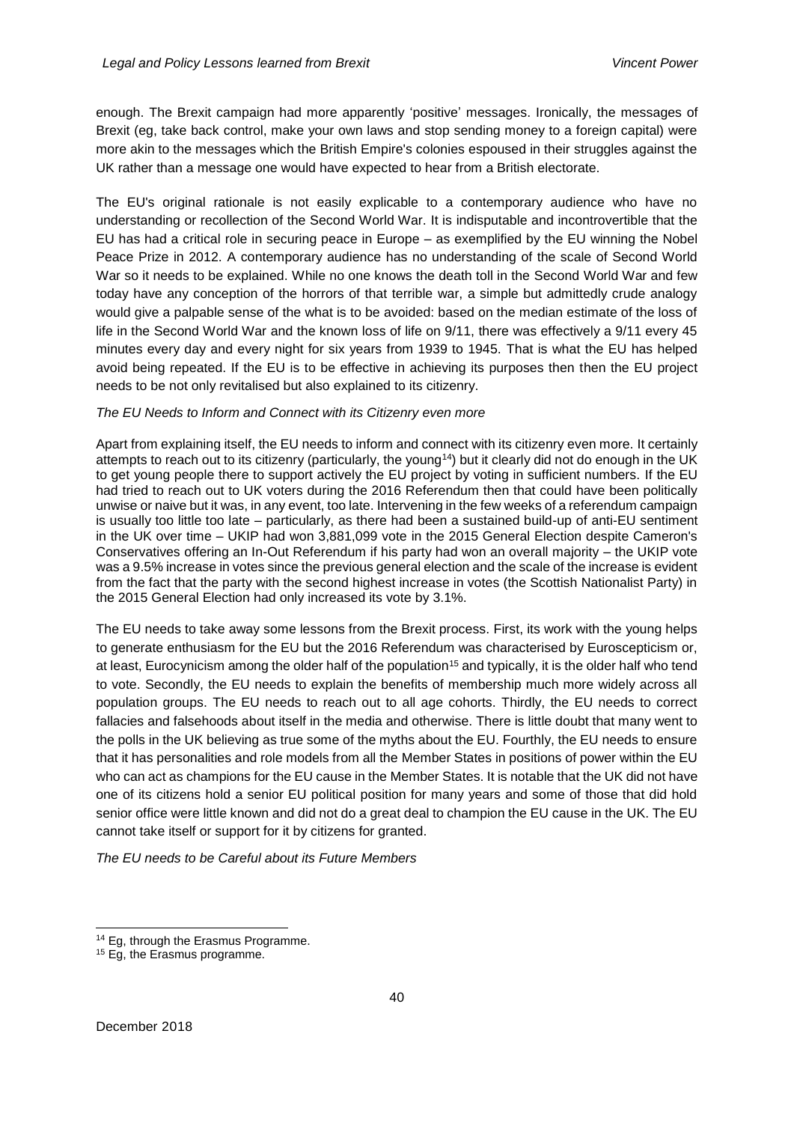enough. The Brexit campaign had more apparently 'positive' messages. Ironically, the messages of Brexit (eg, take back control, make your own laws and stop sending money to a foreign capital) were more akin to the messages which the British Empire's colonies espoused in their struggles against the UK rather than a message one would have expected to hear from a British electorate.

The EU's original rationale is not easily explicable to a contemporary audience who have no understanding or recollection of the Second World War. It is indisputable and incontrovertible that the EU has had a critical role in securing peace in Europe – as exemplified by the EU winning the Nobel Peace Prize in 2012. A contemporary audience has no understanding of the scale of Second World War so it needs to be explained. While no one knows the death toll in the Second World War and few today have any conception of the horrors of that terrible war, a simple but admittedly crude analogy would give a palpable sense of the what is to be avoided: based on the median estimate of the loss of life in the Second World War and the known loss of life on 9/11, there was effectively a 9/11 every 45 minutes every day and every night for six years from 1939 to 1945. That is what the EU has helped avoid being repeated. If the EU is to be effective in achieving its purposes then then the EU project needs to be not only revitalised but also explained to its citizenry.

#### *The EU Needs to Inform and Connect with its Citizenry even more*

Apart from explaining itself, the EU needs to inform and connect with its citizenry even more. It certainly attempts to reach out to its citizenry (particularly, the young<sup>14</sup>) but it clearly did not do enough in the UK to get young people there to support actively the EU project by voting in sufficient numbers. If the EU had tried to reach out to UK voters during the 2016 Referendum then that could have been politically unwise or naive but it was, in any event, too late. Intervening in the few weeks of a referendum campaign is usually too little too late – particularly, as there had been a sustained build-up of anti-EU sentiment in the UK over time – UKIP had won 3,881,099 vote in the 2015 General Election despite Cameron's Conservatives offering an In-Out Referendum if his party had won an overall majority – the UKIP vote was a 9.5% increase in votes since the previous general election and the scale of the increase is evident from the fact that the party with the second highest increase in votes (the Scottish Nationalist Party) in the 2015 General Election had only increased its vote by 3.1%.

The EU needs to take away some lessons from the Brexit process. First, its work with the young helps to generate enthusiasm for the EU but the 2016 Referendum was characterised by Euroscepticism or, at least, Eurocynicism among the older half of the population<sup>15</sup> and typically, it is the older half who tend to vote. Secondly, the EU needs to explain the benefits of membership much more widely across all population groups. The EU needs to reach out to all age cohorts. Thirdly, the EU needs to correct fallacies and falsehoods about itself in the media and otherwise. There is little doubt that many went to the polls in the UK believing as true some of the myths about the EU. Fourthly, the EU needs to ensure that it has personalities and role models from all the Member States in positions of power within the EU who can act as champions for the EU cause in the Member States. It is notable that the UK did not have one of its citizens hold a senior EU political position for many years and some of those that did hold senior office were little known and did not do a great deal to champion the EU cause in the UK. The EU cannot take itself or support for it by citizens for granted.

*The EU needs to be Careful about its Future Members*

<sup>&</sup>lt;sup>14</sup> Eg, through the Erasmus Programme.

<sup>&</sup>lt;sup>15</sup> Eg, the Erasmus programme.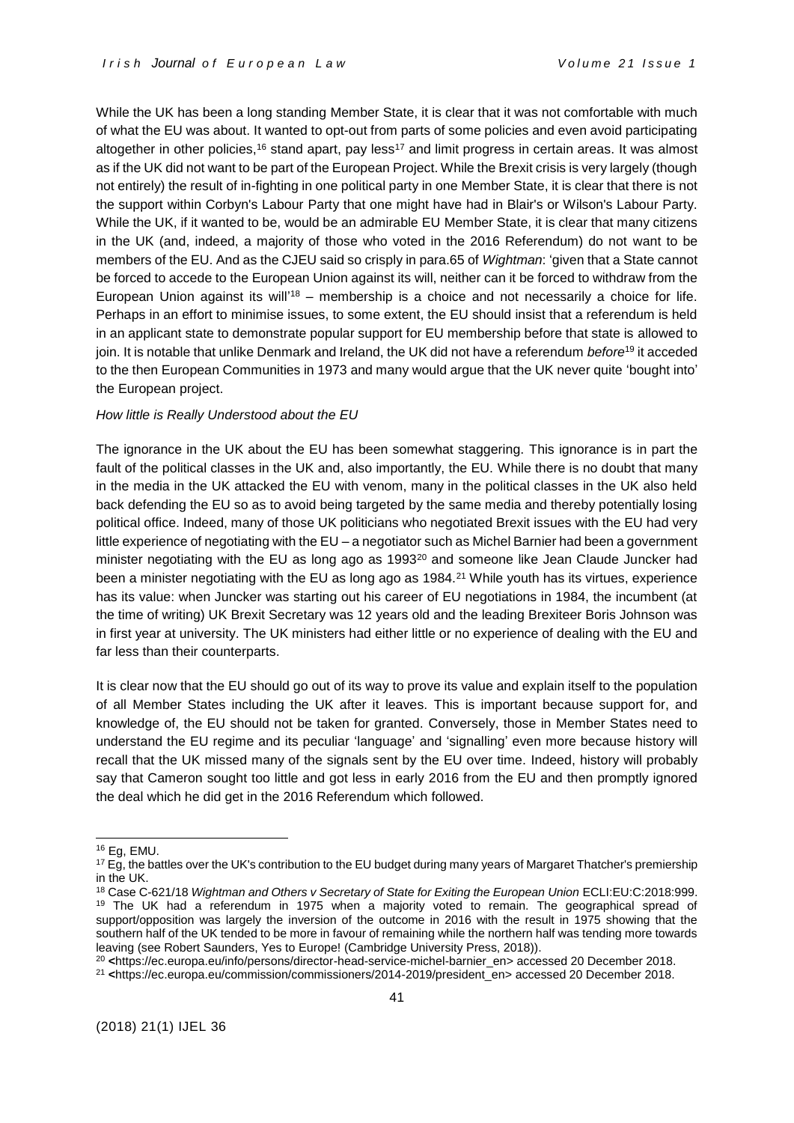While the UK has been a long standing Member State, it is clear that it was not comfortable with much of what the EU was about. It wanted to opt-out from parts of some policies and even avoid participating altogether in other policies,<sup>16</sup> stand apart, pay less<sup>17</sup> and limit progress in certain areas. It was almost as if the UK did not want to be part of the European Project. While the Brexit crisis is very largely (though not entirely) the result of in-fighting in one political party in one Member State, it is clear that there is not the support within Corbyn's Labour Party that one might have had in Blair's or Wilson's Labour Party. While the UK, if it wanted to be, would be an admirable EU Member State, it is clear that many citizens in the UK (and, indeed, a majority of those who voted in the 2016 Referendum) do not want to be members of the EU. And as the CJEU said so crisply in para.65 of *Wightman*: 'given that a State cannot be forced to accede to the European Union against its will, neither can it be forced to withdraw from the European Union against its will<sup>'18</sup> – membership is a choice and not necessarily a choice for life. Perhaps in an effort to minimise issues, to some extent, the EU should insist that a referendum is held in an applicant state to demonstrate popular support for EU membership before that state is allowed to join. It is notable that unlike Denmark and Ireland, the UK did not have a referendum *before*<sup>19</sup> it acceded to the then European Communities in 1973 and many would argue that the UK never quite 'bought into' the European project.

#### *How little is Really Understood about the EU*

The ignorance in the UK about the EU has been somewhat staggering. This ignorance is in part the fault of the political classes in the UK and, also importantly, the EU. While there is no doubt that many in the media in the UK attacked the EU with venom, many in the political classes in the UK also held back defending the EU so as to avoid being targeted by the same media and thereby potentially losing political office. Indeed, many of those UK politicians who negotiated Brexit issues with the EU had very little experience of negotiating with the EU – a negotiator such as Michel Barnier had been a government minister negotiating with the EU as long ago as  $1993<sup>20</sup>$  and someone like Jean Claude Juncker had been a minister negotiating with the EU as long ago as 1984.<sup>21</sup> While youth has its virtues, experience has its value: when Juncker was starting out his career of EU negotiations in 1984, the incumbent (at the time of writing) UK Brexit Secretary was 12 years old and the leading Brexiteer Boris Johnson was in first year at university. The UK ministers had either little or no experience of dealing with the EU and far less than their counterparts.

It is clear now that the EU should go out of its way to prove its value and explain itself to the population of all Member States including the UK after it leaves. This is important because support for, and knowledge of, the EU should not be taken for granted. Conversely, those in Member States need to understand the EU regime and its peculiar 'language' and 'signalling' even more because history will recall that the UK missed many of the signals sent by the EU over time. Indeed, history will probably say that Cameron sought too little and got less in early 2016 from the EU and then promptly ignored the deal which he did get in the 2016 Referendum which followed.

-

<sup>20</sup> **<**[https://ec.europa.eu/info/persons/director-head-service-michel-barnier\\_en>](https://ec.europa.eu/info/persons/director-head-service-michel-barnier_en) accessed 20 December 2018.

<sup>16</sup> Eg, EMU.

<sup>&</sup>lt;sup>17</sup> Eg, the battles over the UK's contribution to the EU budget during many years of Margaret Thatcher's premiership in the UK.

<sup>18</sup> Case C-621/18 *Wightman and Others v Secretary of State for Exiting the European Union* ECLI:EU:C:2018:999. <sup>19</sup> The UK had a referendum in 1975 when a majority voted to remain. The geographical spread of support/opposition was largely the inversion of the outcome in 2016 with the result in 1975 showing that the southern half of the UK tended to be more in favour of remaining while the northern half was tending more towards leaving (see Robert Saunders, Yes to Europe! (Cambridge University Press, 2018)).

<sup>21</sup> **<**[https://ec.europa.eu/commission/commissioners/2014-2019/president\\_en>](https://ec.europa.eu/commission/commissioners/2014-2019/president_en) accessed 20 December 2018.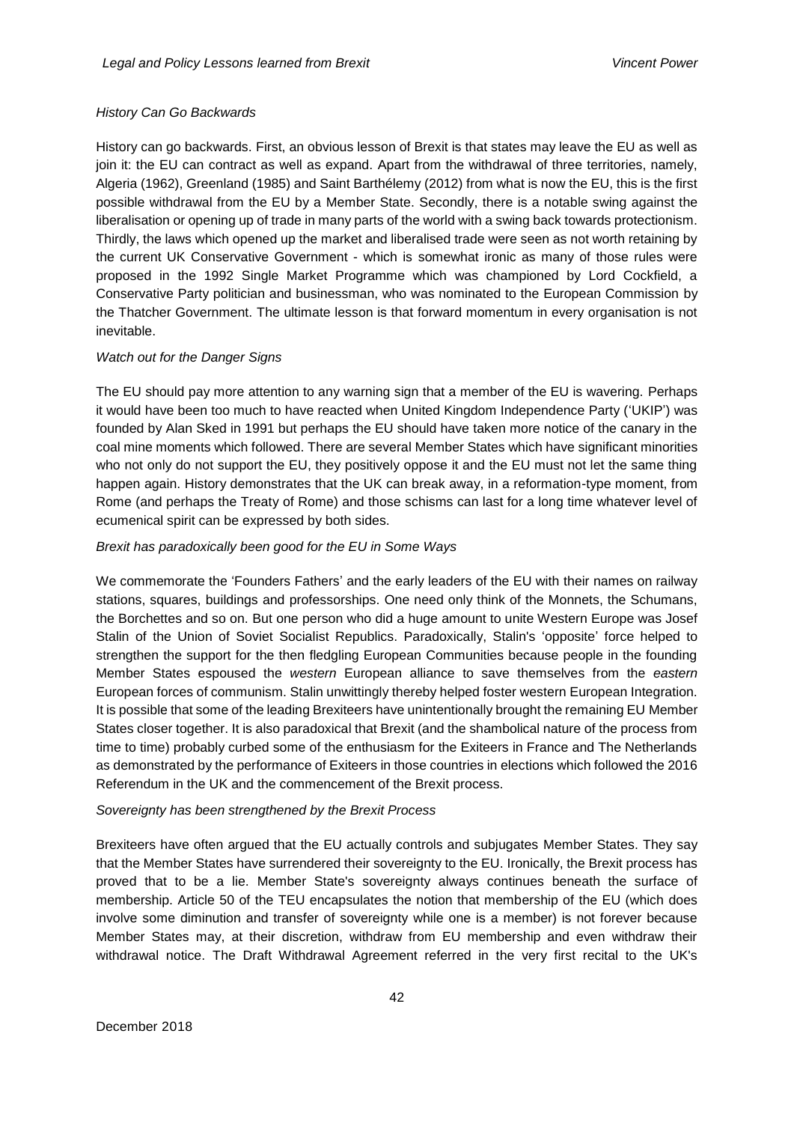## *History Can Go Backwards*

History can go backwards. First, an obvious lesson of Brexit is that states may leave the EU as well as join it: the EU can contract as well as expand. Apart from the withdrawal of three territories, namely, Algeria (1962), Greenland (1985) and Saint Barthélemy (2012) from what is now the EU, this is the first possible withdrawal from the EU by a Member State. Secondly, there is a notable swing against the liberalisation or opening up of trade in many parts of the world with a swing back towards protectionism. Thirdly, the laws which opened up the market and liberalised trade were seen as not worth retaining by the current UK Conservative Government - which is somewhat ironic as many of those rules were proposed in the 1992 Single Market Programme which was championed by Lord Cockfield, a Conservative Party politician and businessman, who was nominated to the European Commission by the Thatcher Government. The ultimate lesson is that forward momentum in every organisation is not inevitable.

## *Watch out for the Danger Signs*

The EU should pay more attention to any warning sign that a member of the EU is wavering. Perhaps it would have been too much to have reacted when United Kingdom Independence Party ('UKIP') was founded by Alan Sked in 1991 but perhaps the EU should have taken more notice of the canary in the coal mine moments which followed. There are several Member States which have significant minorities who not only do not support the EU, they positively oppose it and the EU must not let the same thing happen again. History demonstrates that the UK can break away, in a reformation-type moment, from Rome (and perhaps the Treaty of Rome) and those schisms can last for a long time whatever level of ecumenical spirit can be expressed by both sides.

## *Brexit has paradoxically been good for the EU in Some Ways*

We commemorate the 'Founders Fathers' and the early leaders of the EU with their names on railway stations, squares, buildings and professorships. One need only think of the Monnets, the Schumans, the Borchettes and so on. But one person who did a huge amount to unite Western Europe was Josef Stalin of the Union of Soviet Socialist Republics. Paradoxically, Stalin's 'opposite' force helped to strengthen the support for the then fledgling European Communities because people in the founding Member States espoused the *western* European alliance to save themselves from the *eastern* European forces of communism. Stalin unwittingly thereby helped foster western European Integration. It is possible that some of the leading Brexiteers have unintentionally brought the remaining EU Member States closer together. It is also paradoxical that Brexit (and the shambolical nature of the process from time to time) probably curbed some of the enthusiasm for the Exiteers in France and The Netherlands as demonstrated by the performance of Exiteers in those countries in elections which followed the 2016 Referendum in the UK and the commencement of the Brexit process.

## *Sovereignty has been strengthened by the Brexit Process*

Brexiteers have often argued that the EU actually controls and subjugates Member States. They say that the Member States have surrendered their sovereignty to the EU. Ironically, the Brexit process has proved that to be a lie. Member State's sovereignty always continues beneath the surface of membership. Article 50 of the TEU encapsulates the notion that membership of the EU (which does involve some diminution and transfer of sovereignty while one is a member) is not forever because Member States may, at their discretion, withdraw from EU membership and even withdraw their withdrawal notice. The Draft Withdrawal Agreement referred in the very first recital to the UK's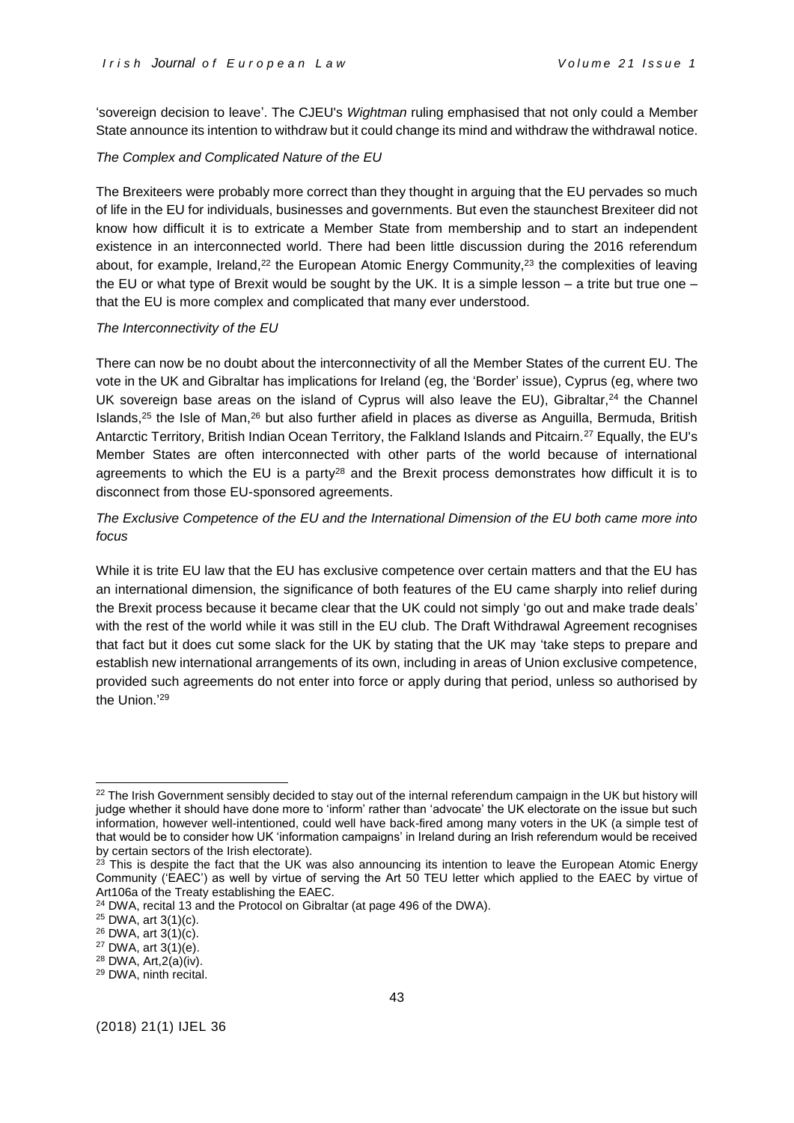'sovereign decision to leave'. The CJEU's *Wightman* ruling emphasised that not only could a Member State announce its intention to withdraw but it could change its mind and withdraw the withdrawal notice.

## *The Complex and Complicated Nature of the EU*

The Brexiteers were probably more correct than they thought in arguing that the EU pervades so much of life in the EU for individuals, businesses and governments. But even the staunchest Brexiteer did not know how difficult it is to extricate a Member State from membership and to start an independent existence in an interconnected world. There had been little discussion during the 2016 referendum about, for example, Ireland, $^{22}$  the European Atomic Energy Community, $^{23}$  the complexities of leaving the EU or what type of Brexit would be sought by the UK. It is a simple lesson – a trite but true one – that the EU is more complex and complicated that many ever understood.

## *The Interconnectivity of the EU*

There can now be no doubt about the interconnectivity of all the Member States of the current EU. The vote in the UK and Gibraltar has implications for Ireland (eg, the 'Border' issue), Cyprus (eg, where two UK sovereign base areas on the island of Cyprus will also leave the EU), Gibraltar, $24$  the Channel Islands, $25$  the Isle of Man, $26$  but also further afield in places as diverse as Anguilla, Bermuda, British Antarctic Territory, British Indian Ocean Territory, the Falkland Islands and Pitcairn.<sup>27</sup> Equally, the EU's Member States are often interconnected with other parts of the world because of international agreements to which the EU is a party<sup>28</sup> and the Brexit process demonstrates how difficult it is to disconnect from those EU-sponsored agreements.

*The Exclusive Competence of the EU and the International Dimension of the EU both came more into focus*

While it is trite EU law that the EU has exclusive competence over certain matters and that the EU has an international dimension, the significance of both features of the EU came sharply into relief during the Brexit process because it became clear that the UK could not simply 'go out and make trade deals' with the rest of the world while it was still in the EU club. The Draft Withdrawal Agreement recognises that fact but it does cut some slack for the UK by stating that the UK may 'take steps to prepare and establish new international arrangements of its own, including in areas of Union exclusive competence, provided such agreements do not enter into force or apply during that period, unless so authorised by the Union.' 29

<sup>&</sup>lt;sup>22</sup> The Irish Government sensibly decided to stay out of the internal referendum campaign in the UK but history will judge whether it should have done more to 'inform' rather than 'advocate' the UK electorate on the issue but such information, however well-intentioned, could well have back-fired among many voters in the UK (a simple test of that would be to consider how UK 'information campaigns' in Ireland during an Irish referendum would be received by certain sectors of the Irish electorate).

<sup>&</sup>lt;sup>23</sup> This is despite the fact that the UK was also announcing its intention to leave the European Atomic Energy Community ('EAEC') as well by virtue of serving the Art 50 TEU letter which applied to the EAEC by virtue of Art106a of the Treaty establishing the EAEC.

 $24$  DWA, recital 13 and the Protocol on Gibraltar (at page 496 of the DWA).

<sup>25</sup> DWA, art 3(1)(c).

<sup>26</sup> DWA, art 3(1)(c).

 $27$  DWA, art  $3(1)(e)$ .

<sup>28</sup> DWA, Art,2(a)(iv).

<sup>29</sup> DWA, ninth recital.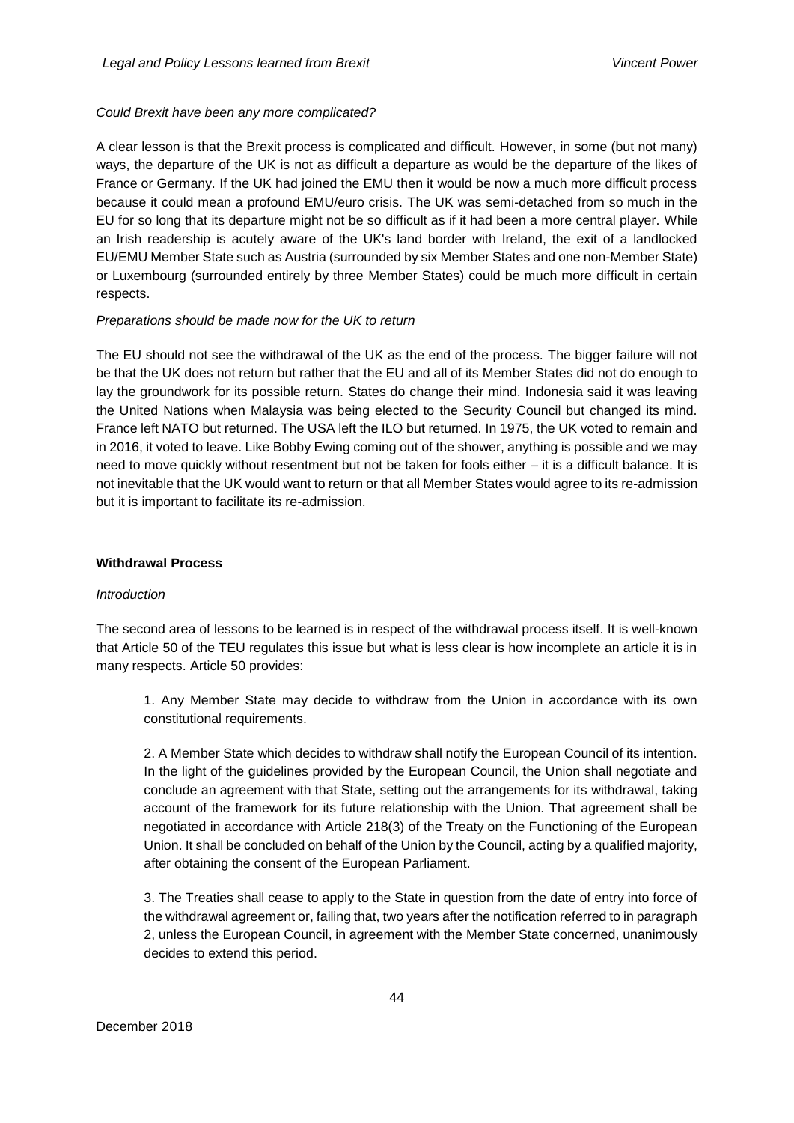## *Could Brexit have been any more complicated?*

A clear lesson is that the Brexit process is complicated and difficult. However, in some (but not many) ways, the departure of the UK is not as difficult a departure as would be the departure of the likes of France or Germany. If the UK had joined the EMU then it would be now a much more difficult process because it could mean a profound EMU/euro crisis. The UK was semi-detached from so much in the EU for so long that its departure might not be so difficult as if it had been a more central player. While an Irish readership is acutely aware of the UK's land border with Ireland, the exit of a landlocked EU/EMU Member State such as Austria (surrounded by six Member States and one non-Member State) or Luxembourg (surrounded entirely by three Member States) could be much more difficult in certain respects.

#### *Preparations should be made now for the UK to return*

The EU should not see the withdrawal of the UK as the end of the process. The bigger failure will not be that the UK does not return but rather that the EU and all of its Member States did not do enough to lay the groundwork for its possible return. States do change their mind. Indonesia said it was leaving the United Nations when Malaysia was being elected to the Security Council but changed its mind. France left NATO but returned. The USA left the ILO but returned. In 1975, the UK voted to remain and in 2016, it voted to leave. Like Bobby Ewing coming out of the shower, anything is possible and we may need to move quickly without resentment but not be taken for fools either – it is a difficult balance. It is not inevitable that the UK would want to return or that all Member States would agree to its re-admission but it is important to facilitate its re-admission.

#### **Withdrawal Process**

#### *Introduction*

The second area of lessons to be learned is in respect of the withdrawal process itself. It is well-known that Article 50 of the TEU regulates this issue but what is less clear is how incomplete an article it is in many respects. Article 50 provides:

1. Any Member State may decide to withdraw from the Union in accordance with its own constitutional requirements.

2. A Member State which decides to withdraw shall notify the European Council of its intention. In the light of the guidelines provided by the European Council, the Union shall negotiate and conclude an agreement with that State, setting out the arrangements for its withdrawal, taking account of the framework for its future relationship with the Union. That agreement shall be negotiated in accordance with Article 218(3) of the Treaty on the Functioning of the European Union. It shall be concluded on behalf of the Union by the Council, acting by a qualified majority, after obtaining the consent of the European Parliament.

3. The Treaties shall cease to apply to the State in question from the date of entry into force of the withdrawal agreement or, failing that, two years after the notification referred to in paragraph 2, unless the European Council, in agreement with the Member State concerned, unanimously decides to extend this period.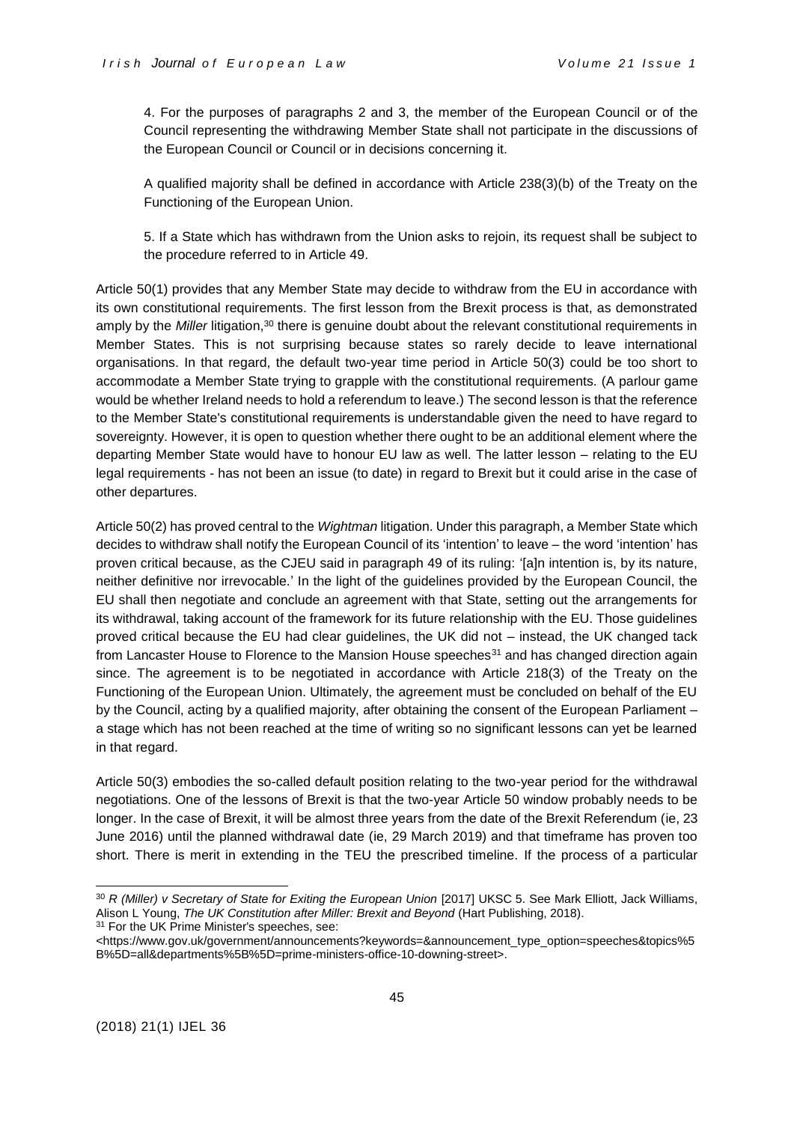4. For the purposes of paragraphs 2 and 3, the member of the European Council or of the Council representing the withdrawing Member State shall not participate in the discussions of the European Council or Council or in decisions concerning it.

A qualified majority shall be defined in accordance with Article 238(3)(b) of the Treaty on the Functioning of the European Union.

5. If a State which has withdrawn from the Union asks to rejoin, its request shall be subject to the procedure referred to in Article 49.

Article 50(1) provides that any Member State may decide to withdraw from the EU in accordance with its own constitutional requirements. The first lesson from the Brexit process is that, as demonstrated amply by the *Miller* litigation,<sup>30</sup> there is genuine doubt about the relevant constitutional requirements in Member States. This is not surprising because states so rarely decide to leave international organisations. In that regard, the default two-year time period in Article 50(3) could be too short to accommodate a Member State trying to grapple with the constitutional requirements. (A parlour game would be whether Ireland needs to hold a referendum to leave.) The second lesson is that the reference to the Member State's constitutional requirements is understandable given the need to have regard to sovereignty. However, it is open to question whether there ought to be an additional element where the departing Member State would have to honour EU law as well. The latter lesson – relating to the EU legal requirements - has not been an issue (to date) in regard to Brexit but it could arise in the case of other departures.

Article 50(2) has proved central to the *Wightman* litigation. Under this paragraph, a Member State which decides to withdraw shall notify the European Council of its 'intention' to leave – the word 'intention' has proven critical because, as the CJEU said in paragraph 49 of its ruling: '[a]n intention is, by its nature, neither definitive nor irrevocable.' In the light of the guidelines provided by the European Council, the EU shall then negotiate and conclude an agreement with that State, setting out the arrangements for its withdrawal, taking account of the framework for its future relationship with the EU. Those guidelines proved critical because the EU had clear guidelines, the UK did not – instead, the UK changed tack from Lancaster House to Florence to the Mansion House speeches<sup>31</sup> and has changed direction again since. The agreement is to be negotiated in accordance with Article 218(3) of the Treaty on the Functioning of the European Union. Ultimately, the agreement must be concluded on behalf of the EU by the Council, acting by a qualified majority, after obtaining the consent of the European Parliament – a stage which has not been reached at the time of writing so no significant lessons can yet be learned in that regard.

Article 50(3) embodies the so-called default position relating to the two-year period for the withdrawal negotiations. One of the lessons of Brexit is that the two-year Article 50 window probably needs to be longer. In the case of Brexit, it will be almost three years from the date of the Brexit Referendum (ie, 23 June 2016) until the planned withdrawal date (ie, 29 March 2019) and that timeframe has proven too short. There is merit in extending in the TEU the prescribed timeline. If the process of a particular

<sup>&</sup>lt;sup>30</sup> *R (Miller) v Secretary of State for Exiting the European Union* [2017] UKSC 5. See Mark Elliott, Jack Williams, Alison L Young, *The UK Constitution after Miller: Brexit and Beyond* (Hart Publishing, 2018).

<sup>&</sup>lt;sup>31</sup> For the UK Prime Minister's speeches, see:

<sup>&</sup>lt;https://www.gov.uk/government/announcements?keywords=&announcement\_type\_option=speeches&topics%5 B%5D=all&departments%5B%5D=prime-ministers-office-10-downing-street>.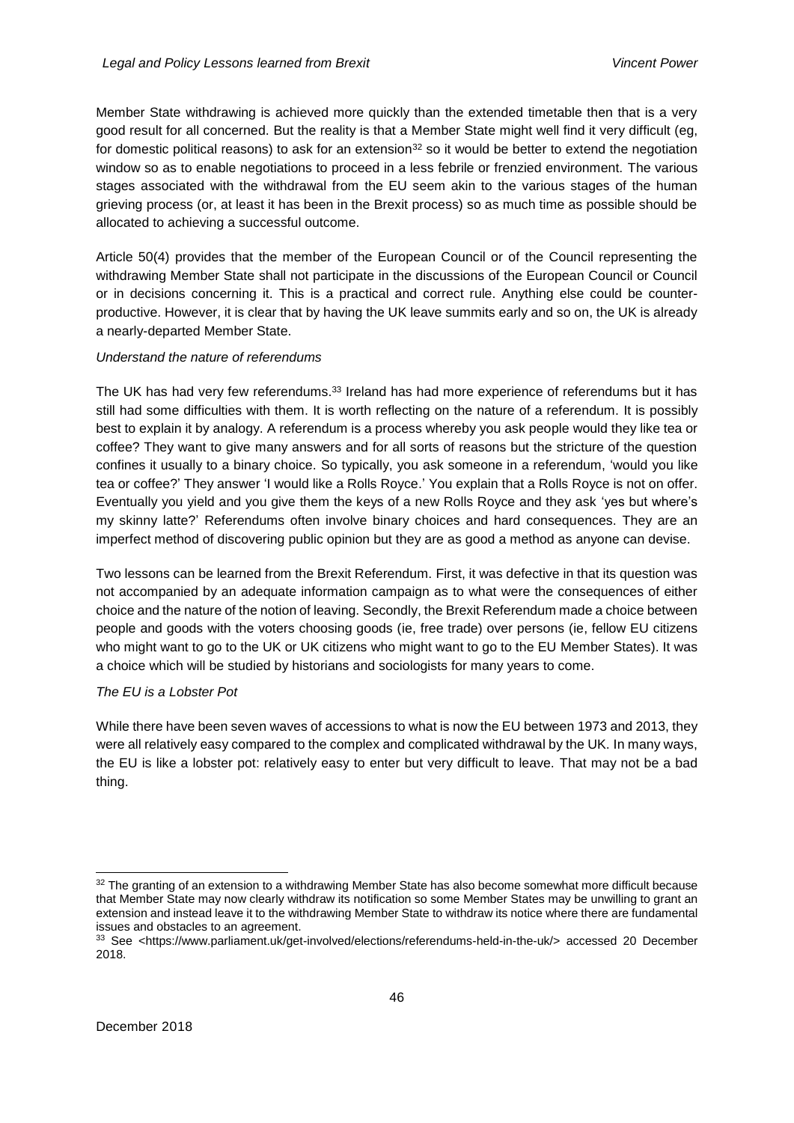Member State withdrawing is achieved more quickly than the extended timetable then that is a very good result for all concerned. But the reality is that a Member State might well find it very difficult (eg, for domestic political reasons) to ask for an extension  $32$  so it would be better to extend the negotiation window so as to enable negotiations to proceed in a less febrile or frenzied environment. The various stages associated with the withdrawal from the EU seem akin to the various stages of the human grieving process (or, at least it has been in the Brexit process) so as much time as possible should be allocated to achieving a successful outcome.

Article 50(4) provides that the member of the European Council or of the Council representing the withdrawing Member State shall not participate in the discussions of the European Council or Council or in decisions concerning it. This is a practical and correct rule. Anything else could be counterproductive. However, it is clear that by having the UK leave summits early and so on, the UK is already a nearly-departed Member State.

# *Understand the nature of referendums*

The UK has had very few referendums.<sup>33</sup> Ireland has had more experience of referendums but it has still had some difficulties with them. It is worth reflecting on the nature of a referendum. It is possibly best to explain it by analogy. A referendum is a process whereby you ask people would they like tea or coffee? They want to give many answers and for all sorts of reasons but the stricture of the question confines it usually to a binary choice. So typically, you ask someone in a referendum, 'would you like tea or coffee?' They answer 'I would like a Rolls Royce.' You explain that a Rolls Royce is not on offer. Eventually you yield and you give them the keys of a new Rolls Royce and they ask 'yes but where's my skinny latte?' Referendums often involve binary choices and hard consequences. They are an imperfect method of discovering public opinion but they are as good a method as anyone can devise.

Two lessons can be learned from the Brexit Referendum. First, it was defective in that its question was not accompanied by an adequate information campaign as to what were the consequences of either choice and the nature of the notion of leaving. Secondly, the Brexit Referendum made a choice between people and goods with the voters choosing goods (ie, free trade) over persons (ie, fellow EU citizens who might want to go to the UK or UK citizens who might want to go to the EU Member States). It was a choice which will be studied by historians and sociologists for many years to come.

# *The EU is a Lobster Pot*

While there have been seven waves of accessions to what is now the EU between 1973 and 2013, they were all relatively easy compared to the complex and complicated withdrawal by the UK. In many ways, the EU is like a lobster pot: relatively easy to enter but very difficult to leave. That may not be a bad thing.

<sup>32</sup> The granting of an extension to a withdrawing Member State has also become somewhat more difficult because that Member State may now clearly withdraw its notification so some Member States may be unwilling to grant an extension and instead leave it to the withdrawing Member State to withdraw its notice where there are fundamental issues and obstacles to an agreement.

<sup>33</sup> See [<https://www.parliament.uk/get-involved/elections/referendums-held-in-the-uk/>](https://www.parliament.uk/get-involved/elections/referendums-held-in-the-uk/) accessed 20 December 2018.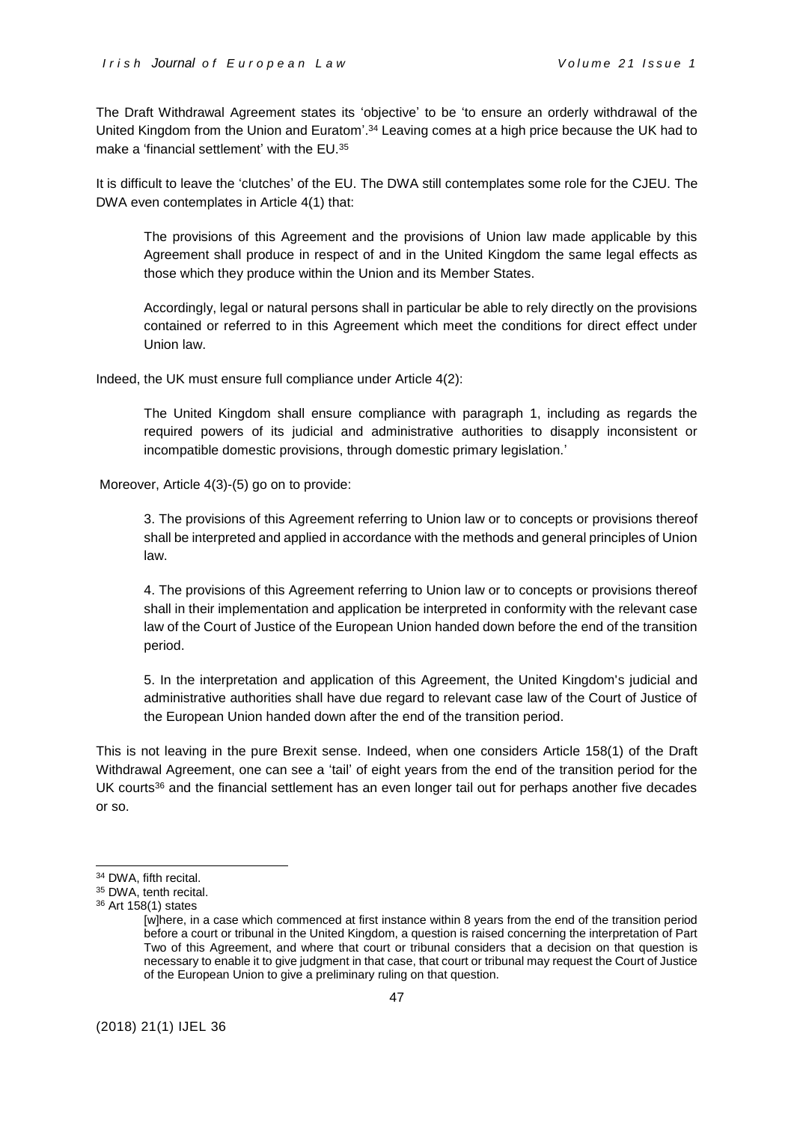The Draft Withdrawal Agreement states its 'objective' to be 'to ensure an orderly withdrawal of the United Kingdom from the Union and Euratom'. <sup>34</sup> Leaving comes at a high price because the UK had to make a 'financial settlement' with the EU.<sup>35</sup>

It is difficult to leave the 'clutches' of the EU. The DWA still contemplates some role for the CJEU. The DWA even contemplates in Article 4(1) that:

The provisions of this Agreement and the provisions of Union law made applicable by this Agreement shall produce in respect of and in the United Kingdom the same legal effects as those which they produce within the Union and its Member States.

Accordingly, legal or natural persons shall in particular be able to rely directly on the provisions contained or referred to in this Agreement which meet the conditions for direct effect under Union law.

Indeed, the UK must ensure full compliance under Article 4(2):

The United Kingdom shall ensure compliance with paragraph 1, including as regards the required powers of its judicial and administrative authorities to disapply inconsistent or incompatible domestic provisions, through domestic primary legislation.'

Moreover, Article 4(3)-(5) go on to provide:

3. The provisions of this Agreement referring to Union law or to concepts or provisions thereof shall be interpreted and applied in accordance with the methods and general principles of Union law.

4. The provisions of this Agreement referring to Union law or to concepts or provisions thereof shall in their implementation and application be interpreted in conformity with the relevant case law of the Court of Justice of the European Union handed down before the end of the transition period.

5. In the interpretation and application of this Agreement, the United Kingdom's judicial and administrative authorities shall have due regard to relevant case law of the Court of Justice of the European Union handed down after the end of the transition period.

This is not leaving in the pure Brexit sense. Indeed, when one considers Article 158(1) of the Draft Withdrawal Agreement, one can see a 'tail' of eight years from the end of the transition period for the UK courts<sup>36</sup> and the financial settlement has an even longer tail out for perhaps another five decades or so.

<sup>&</sup>lt;sup>34</sup> DWA, fifth recital.

<sup>&</sup>lt;sup>35</sup> DWA, tenth recital.

<sup>36</sup> Art 158(1) states

<sup>[</sup>w]here, in a case which commenced at first instance within 8 years from the end of the transition period before a court or tribunal in the United Kingdom, a question is raised concerning the interpretation of Part Two of this Agreement, and where that court or tribunal considers that a decision on that question is necessary to enable it to give judgment in that case, that court or tribunal may request the Court of Justice of the European Union to give a preliminary ruling on that question.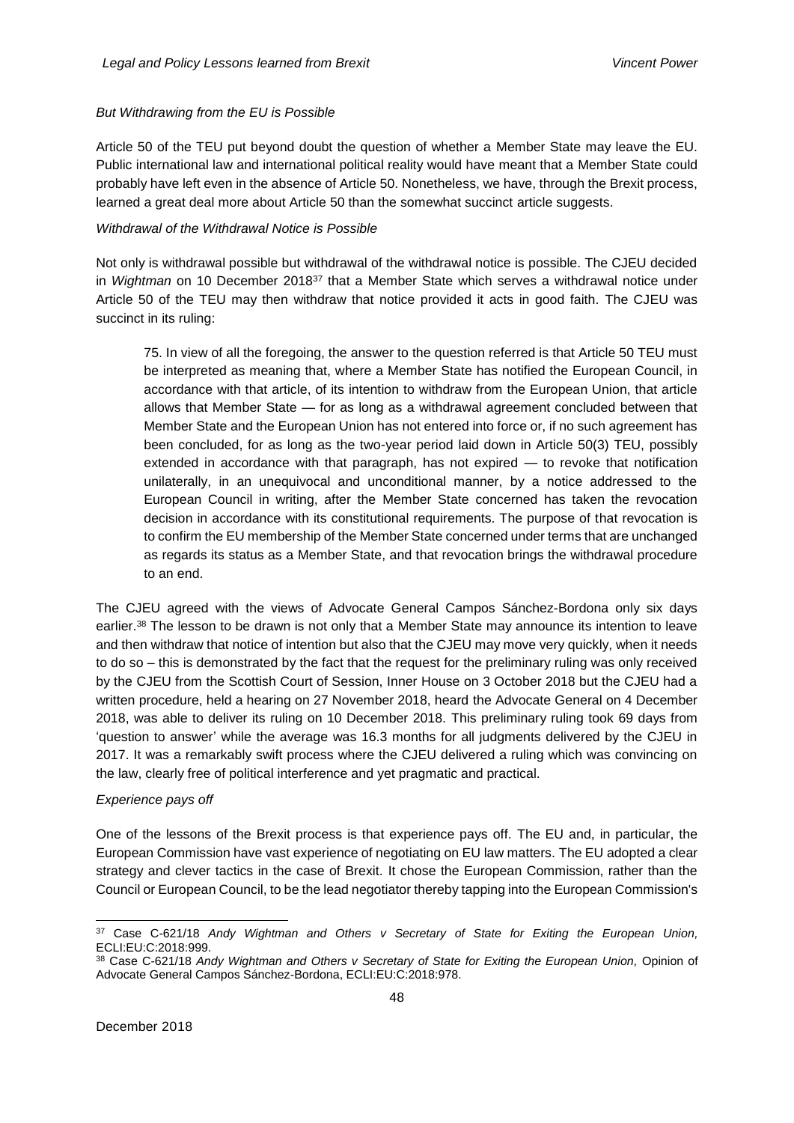## *But Withdrawing from the EU is Possible*

Article 50 of the TEU put beyond doubt the question of whether a Member State may leave the EU. Public international law and international political reality would have meant that a Member State could probably have left even in the absence of Article 50. Nonetheless, we have, through the Brexit process, learned a great deal more about Article 50 than the somewhat succinct article suggests.

#### *Withdrawal of the Withdrawal Notice is Possible*

Not only is withdrawal possible but withdrawal of the withdrawal notice is possible. The CJEU decided in *Wightman* on 10 December 2018<sup>37</sup> that a Member State which serves a withdrawal notice under Article 50 of the TEU may then withdraw that notice provided it acts in good faith. The CJEU was succinct in its ruling:

75. In view of all the foregoing, the answer to the question referred is that Article 50 TEU must be interpreted as meaning that, where a Member State has notified the European Council, in accordance with that article, of its intention to withdraw from the European Union, that article allows that Member State — for as long as a withdrawal agreement concluded between that Member State and the European Union has not entered into force or, if no such agreement has been concluded, for as long as the two-year period laid down in Article 50(3) TEU, possibly extended in accordance with that paragraph, has not expired — to revoke that notification unilaterally, in an unequivocal and unconditional manner, by a notice addressed to the European Council in writing, after the Member State concerned has taken the revocation decision in accordance with its constitutional requirements. The purpose of that revocation is to confirm the EU membership of the Member State concerned under terms that are unchanged as regards its status as a Member State, and that revocation brings the withdrawal procedure to an end.

The CJEU agreed with the views of Advocate General Campos Sánchez-Bordona only six days earlier.<sup>38</sup> The lesson to be drawn is not only that a Member State may announce its intention to leave and then withdraw that notice of intention but also that the CJEU may move very quickly, when it needs to do so – this is demonstrated by the fact that the request for the preliminary ruling was only received by the CJEU from the Scottish Court of Session, Inner House on 3 October 2018 but the CJEU had a written procedure, held a hearing on 27 November 2018, heard the Advocate General on 4 December 2018, was able to deliver its ruling on 10 December 2018. This preliminary ruling took 69 days from 'question to answer' while the average was 16.3 months for all judgments delivered by the CJEU in 2017. It was a remarkably swift process where the CJEU delivered a ruling which was convincing on the law, clearly free of political interference and yet pragmatic and practical.

#### *Experience pays off*

One of the lessons of the Brexit process is that experience pays off. The EU and, in particular, the European Commission have vast experience of negotiating on EU law matters. The EU adopted a clear strategy and clever tactics in the case of Brexit. It chose the European Commission, rather than the Council or European Council, to be the lead negotiator thereby tapping into the European Commission's

<sup>37</sup> Case C-621/18 *Andy Wightman and Others v Secretary of State for Exiting the European Union,* ECLI:EU:C:2018:999.

<sup>38</sup> Case C-621/18 *Andy Wightman and Others v Secretary of State for Exiting the European Union,* Opinion of Advocate General Campos Sánchez-Bordona, ECLI:EU:C:2018:978.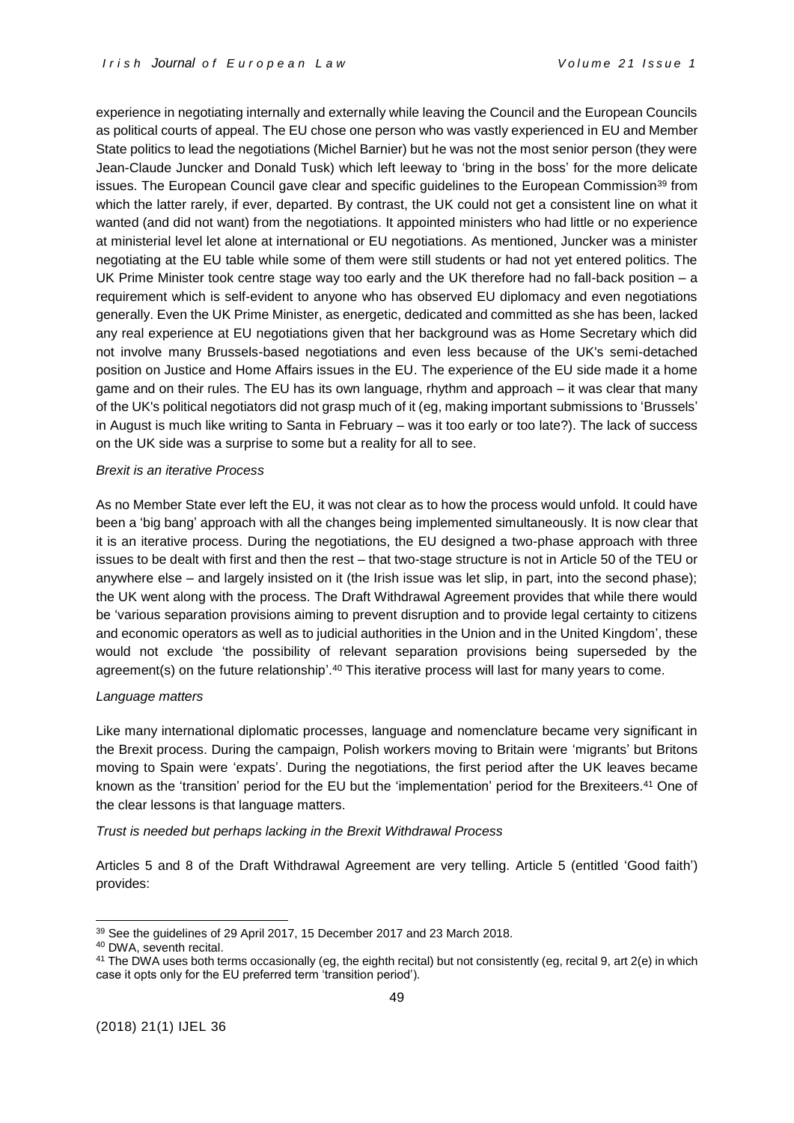experience in negotiating internally and externally while leaving the Council and the European Councils as political courts of appeal. The EU chose one person who was vastly experienced in EU and Member State politics to lead the negotiations (Michel Barnier) but he was not the most senior person (they were Jean-Claude Juncker and Donald Tusk) which left leeway to 'bring in the boss' for the more delicate issues. The European Council gave clear and specific guidelines to the European Commission<sup>39</sup> from which the latter rarely, if ever, departed. By contrast, the UK could not get a consistent line on what it wanted (and did not want) from the negotiations. It appointed ministers who had little or no experience at ministerial level let alone at international or EU negotiations. As mentioned, Juncker was a minister negotiating at the EU table while some of them were still students or had not yet entered politics. The UK Prime Minister took centre stage way too early and the UK therefore had no fall-back position – a requirement which is self-evident to anyone who has observed EU diplomacy and even negotiations generally. Even the UK Prime Minister, as energetic, dedicated and committed as she has been, lacked any real experience at EU negotiations given that her background was as Home Secretary which did not involve many Brussels-based negotiations and even less because of the UK's semi-detached position on Justice and Home Affairs issues in the EU. The experience of the EU side made it a home game and on their rules. The EU has its own language, rhythm and approach – it was clear that many of the UK's political negotiators did not grasp much of it (eg, making important submissions to 'Brussels' in August is much like writing to Santa in February – was it too early or too late?). The lack of success on the UK side was a surprise to some but a reality for all to see.

#### *Brexit is an iterative Process*

As no Member State ever left the EU, it was not clear as to how the process would unfold. It could have been a 'big bang' approach with all the changes being implemented simultaneously. It is now clear that it is an iterative process. During the negotiations, the EU designed a two-phase approach with three issues to be dealt with first and then the rest – that two-stage structure is not in Article 50 of the TEU or anywhere else – and largely insisted on it (the Irish issue was let slip, in part, into the second phase); the UK went along with the process. The Draft Withdrawal Agreement provides that while there would be 'various separation provisions aiming to prevent disruption and to provide legal certainty to citizens and economic operators as well as to judicial authorities in the Union and in the United Kingdom', these would not exclude 'the possibility of relevant separation provisions being superseded by the agreement(s) on the future relationship'.<sup>40</sup> This iterative process will last for many years to come.

#### *Language matters*

Like many international diplomatic processes, language and nomenclature became very significant in the Brexit process. During the campaign, Polish workers moving to Britain were 'migrants' but Britons moving to Spain were 'expats'. During the negotiations, the first period after the UK leaves became known as the 'transition' period for the EU but the 'implementation' period for the Brexiteers.<sup>41</sup> One of the clear lessons is that language matters.

#### *Trust is needed but perhaps lacking in the Brexit Withdrawal Process*

Articles 5 and 8 of the Draft Withdrawal Agreement are very telling. Article 5 (entitled 'Good faith') provides:

<sup>39</sup> See the guidelines of 29 April 2017, 15 December 2017 and 23 March 2018.

<sup>40</sup> DWA, seventh recital.

<sup>&</sup>lt;sup>41</sup> The DWA uses both terms occasionally (eg, the eighth recital) but not consistently (eg, recital 9, art 2(e) in which case it opts only for the EU preferred term 'transition period').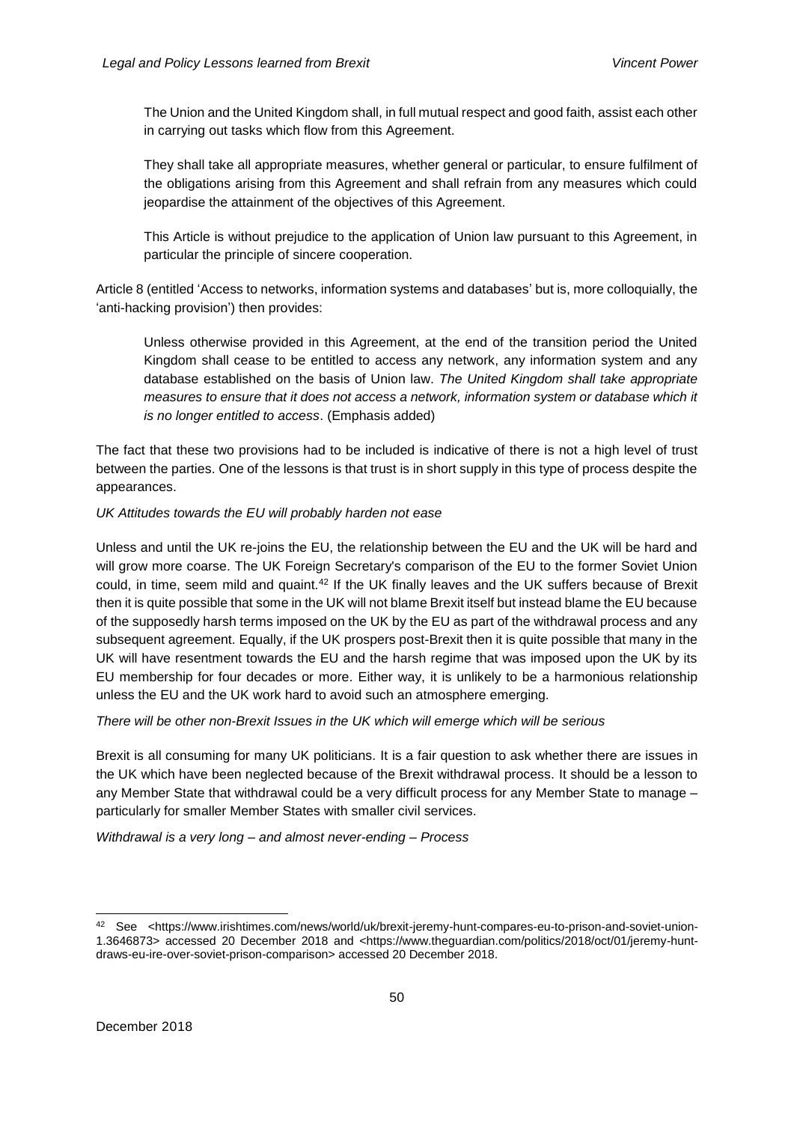The Union and the United Kingdom shall, in full mutual respect and good faith, assist each other in carrying out tasks which flow from this Agreement.

They shall take all appropriate measures, whether general or particular, to ensure fulfilment of the obligations arising from this Agreement and shall refrain from any measures which could jeopardise the attainment of the objectives of this Agreement.

This Article is without prejudice to the application of Union law pursuant to this Agreement, in particular the principle of sincere cooperation.

Article 8 (entitled 'Access to networks, information systems and databases' but is, more colloquially, the 'anti-hacking provision') then provides:

Unless otherwise provided in this Agreement, at the end of the transition period the United Kingdom shall cease to be entitled to access any network, any information system and any database established on the basis of Union law. *The United Kingdom shall take appropriate measures to ensure that it does not access a network, information system or database which it is no longer entitled to access*. (Emphasis added)

The fact that these two provisions had to be included is indicative of there is not a high level of trust between the parties. One of the lessons is that trust is in short supply in this type of process despite the appearances.

#### *UK Attitudes towards the EU will probably harden not ease*

Unless and until the UK re-joins the EU, the relationship between the EU and the UK will be hard and will grow more coarse. The UK Foreign Secretary's comparison of the EU to the former Soviet Union could, in time, seem mild and quaint.<sup>42</sup> If the UK finally leaves and the UK suffers because of Brexit then it is quite possible that some in the UK will not blame Brexit itself but instead blame the EU because of the supposedly harsh terms imposed on the UK by the EU as part of the withdrawal process and any subsequent agreement. Equally, if the UK prospers post-Brexit then it is quite possible that many in the UK will have resentment towards the EU and the harsh regime that was imposed upon the UK by its EU membership for four decades or more. Either way, it is unlikely to be a harmonious relationship unless the EU and the UK work hard to avoid such an atmosphere emerging.

*There will be other non-Brexit Issues in the UK which will emerge which will be serious*

Brexit is all consuming for many UK politicians. It is a fair question to ask whether there are issues in the UK which have been neglected because of the Brexit withdrawal process. It should be a lesson to any Member State that withdrawal could be a very difficult process for any Member State to manage – particularly for smaller Member States with smaller civil services.

*Withdrawal is a very long – and almost never-ending – Process*

<sup>42</sup> See [<https://www.irishtimes.com/news/world/uk/brexit-jeremy-hunt-compares-eu-to-prison-and-soviet-union-](https://www.irishtimes.com/news/world/uk/brexit-jeremy-hunt-compares-eu-to-prison-and-soviet-union-1.3646873)[1.3646873>](https://www.irishtimes.com/news/world/uk/brexit-jeremy-hunt-compares-eu-to-prison-and-soviet-union-1.3646873) accessed 20 December 2018 and [<https://www.theguardian.com/politics/2018/oct/01/jeremy-hunt](https://www.theguardian.com/politics/2018/oct/01/jeremy-hunt-draws-eu-ire-over-soviet-prison-comparison)[draws-eu-ire-over-soviet-prison-comparison>](https://www.theguardian.com/politics/2018/oct/01/jeremy-hunt-draws-eu-ire-over-soviet-prison-comparison) accessed 20 December 2018.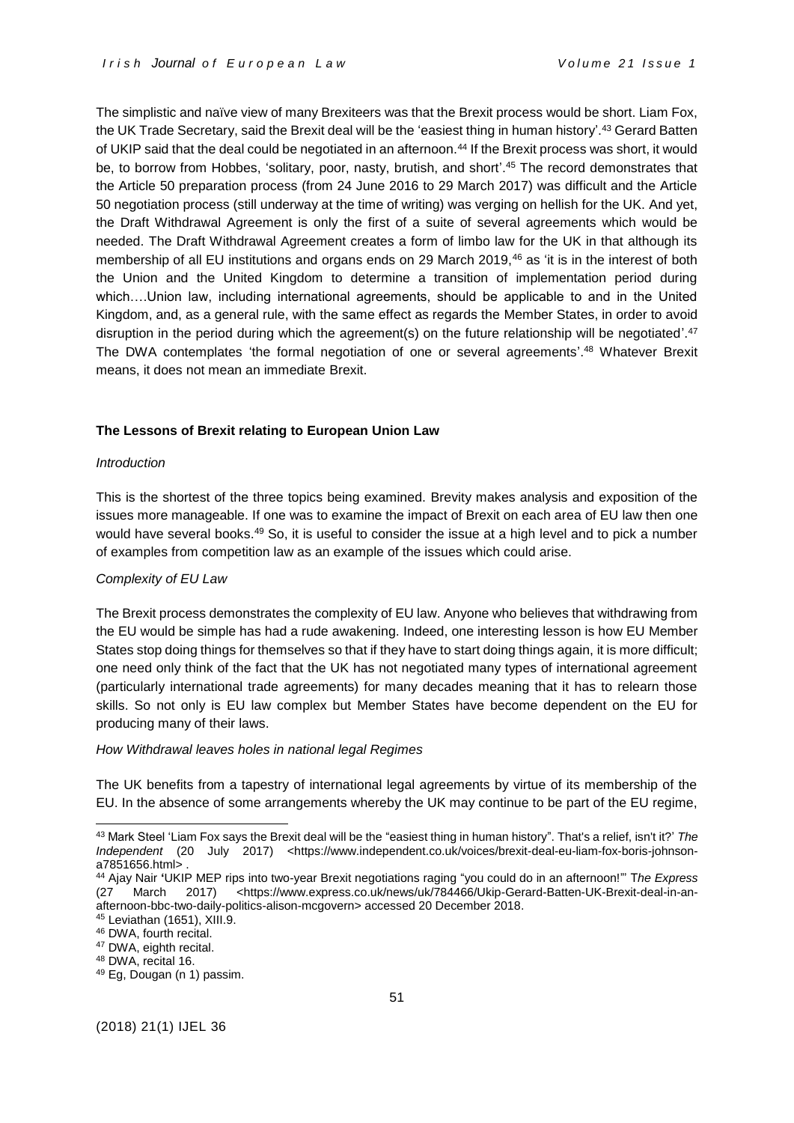The simplistic and naïve view of many Brexiteers was that the Brexit process would be short. Liam Fox, the UK Trade Secretary, said the Brexit deal will be the 'easiest thing in human history'. <sup>43</sup> Gerard Batten of UKIP said that the deal could be negotiated in an afternoon.<sup>44</sup> If the Brexit process was short, it would be, to borrow from Hobbes, 'solitary, poor, nasty, brutish, and short'. <sup>45</sup> The record demonstrates that the Article 50 preparation process (from 24 June 2016 to 29 March 2017) was difficult and the Article 50 negotiation process (still underway at the time of writing) was verging on hellish for the UK. And yet, the Draft Withdrawal Agreement is only the first of a suite of several agreements which would be needed. The Draft Withdrawal Agreement creates a form of limbo law for the UK in that although its membership of all EU institutions and organs ends on 29 March 2019,<sup>46</sup> as 'it is in the interest of both the Union and the United Kingdom to determine a transition of implementation period during which….Union law, including international agreements, should be applicable to and in the United Kingdom, and, as a general rule, with the same effect as regards the Member States, in order to avoid disruption in the period during which the agreement(s) on the future relationship will be negotiated'.<sup>47</sup> The DWA contemplates 'the formal negotiation of one or several agreements'.<sup>48</sup> Whatever Brexit means, it does not mean an immediate Brexit.

## **The Lessons of Brexit relating to European Union Law**

## *Introduction*

This is the shortest of the three topics being examined. Brevity makes analysis and exposition of the issues more manageable. If one was to examine the impact of Brexit on each area of EU law then one would have several books.<sup>49</sup> So, it is useful to consider the issue at a high level and to pick a number of examples from competition law as an example of the issues which could arise.

## *Complexity of EU Law*

The Brexit process demonstrates the complexity of EU law. Anyone who believes that withdrawing from the EU would be simple has had a rude awakening. Indeed, one interesting lesson is how EU Member States stop doing things for themselves so that if they have to start doing things again, it is more difficult; one need only think of the fact that the UK has not negotiated many types of international agreement (particularly international trade agreements) for many decades meaning that it has to relearn those skills. So not only is EU law complex but Member States have become dependent on the EU for producing many of their laws.

#### *How Withdrawal leaves holes in national legal Regimes*

The UK benefits from a tapestry of international legal agreements by virtue of its membership of the EU. In the absence of some arrangements whereby the UK may continue to be part of the EU regime,

<sup>45</sup> Leviathan (1651), XIII.9.

<sup>43</sup> Mark Steel 'Liam Fox says the Brexit deal will be the "easiest thing in human history". That's a relief, isn't it?' *The Independent* (20 July 2017) <https://www.independent.co.uk/voices/brexit-deal-eu-liam-fox-boris-johnsona7851656.html> .

<sup>44</sup> Ajay Nair **'**UKIP MEP rips into two-year Brexit negotiations raging "you could do in an afternoon!"' T*he Express* (27 March 2017) [<https://www.express.co.uk/news/uk/784466/Ukip-Gerard-Batten-UK-Brexit-deal-in-an](https://www.express.co.uk/news/uk/784466/Ukip-Gerard-Batten-UK-Brexit-deal-in-an-afternoon-bbc-two-daily-politics-alison-mcgovern)[afternoon-bbc-two-daily-politics-alison-mcgovern>](https://www.express.co.uk/news/uk/784466/Ukip-Gerard-Batten-UK-Brexit-deal-in-an-afternoon-bbc-two-daily-politics-alison-mcgovern) accessed 20 December 2018.

<sup>46</sup> DWA, fourth recital.

<sup>&</sup>lt;sup>47</sup> DWA, eighth recital.

<sup>48</sup> DWA, recital 16.

<sup>49</sup> Eg, Dougan (n 1) passim.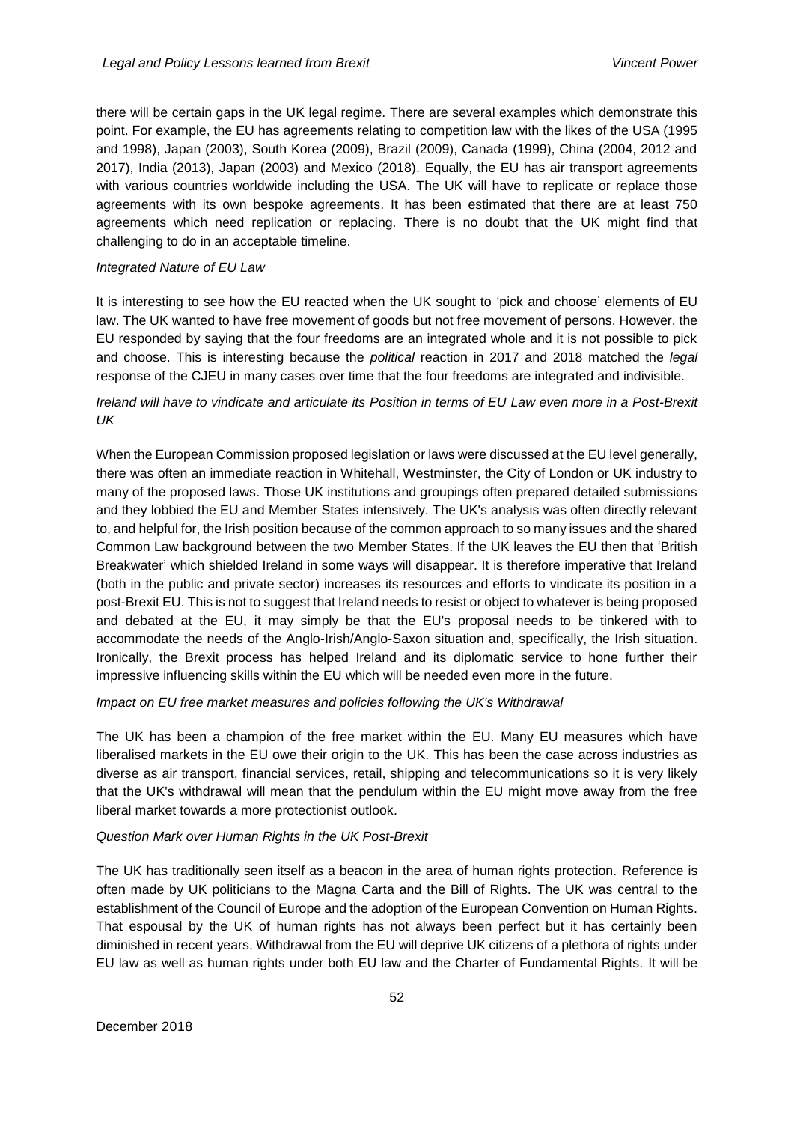there will be certain gaps in the UK legal regime. There are several examples which demonstrate this point. For example, the EU has agreements relating to competition law with the likes of the USA (1995 and 1998), Japan (2003), South Korea (2009), Brazil (2009), Canada (1999), China (2004, 2012 and 2017), India (2013), Japan (2003) and Mexico (2018). Equally, the EU has air transport agreements with various countries worldwide including the USA. The UK will have to replicate or replace those agreements with its own bespoke agreements. It has been estimated that there are at least 750 agreements which need replication or replacing. There is no doubt that the UK might find that challenging to do in an acceptable timeline.

### *Integrated Nature of EU Law*

It is interesting to see how the EU reacted when the UK sought to 'pick and choose' elements of EU law. The UK wanted to have free movement of goods but not free movement of persons. However, the EU responded by saying that the four freedoms are an integrated whole and it is not possible to pick and choose. This is interesting because the *political* reaction in 2017 and 2018 matched the *legal*  response of the CJEU in many cases over time that the four freedoms are integrated and indivisible.

# *Ireland will have to vindicate and articulate its Position in terms of EU Law even more in a Post-Brexit UK*

When the European Commission proposed legislation or laws were discussed at the EU level generally, there was often an immediate reaction in Whitehall, Westminster, the City of London or UK industry to many of the proposed laws. Those UK institutions and groupings often prepared detailed submissions and they lobbied the EU and Member States intensively. The UK's analysis was often directly relevant to, and helpful for, the Irish position because of the common approach to so many issues and the shared Common Law background between the two Member States. If the UK leaves the EU then that 'British Breakwater' which shielded Ireland in some ways will disappear. It is therefore imperative that Ireland (both in the public and private sector) increases its resources and efforts to vindicate its position in a post-Brexit EU. This is not to suggest that Ireland needs to resist or object to whatever is being proposed and debated at the EU, it may simply be that the EU's proposal needs to be tinkered with to accommodate the needs of the Anglo-Irish/Anglo-Saxon situation and, specifically, the Irish situation. Ironically, the Brexit process has helped Ireland and its diplomatic service to hone further their impressive influencing skills within the EU which will be needed even more in the future.

## *Impact on EU free market measures and policies following the UK's Withdrawal*

The UK has been a champion of the free market within the EU. Many EU measures which have liberalised markets in the EU owe their origin to the UK. This has been the case across industries as diverse as air transport, financial services, retail, shipping and telecommunications so it is very likely that the UK's withdrawal will mean that the pendulum within the EU might move away from the free liberal market towards a more protectionist outlook.

## *Question Mark over Human Rights in the UK Post-Brexit*

The UK has traditionally seen itself as a beacon in the area of human rights protection. Reference is often made by UK politicians to the Magna Carta and the Bill of Rights. The UK was central to the establishment of the Council of Europe and the adoption of the European Convention on Human Rights. That espousal by the UK of human rights has not always been perfect but it has certainly been diminished in recent years. Withdrawal from the EU will deprive UK citizens of a plethora of rights under EU law as well as human rights under both EU law and the Charter of Fundamental Rights. It will be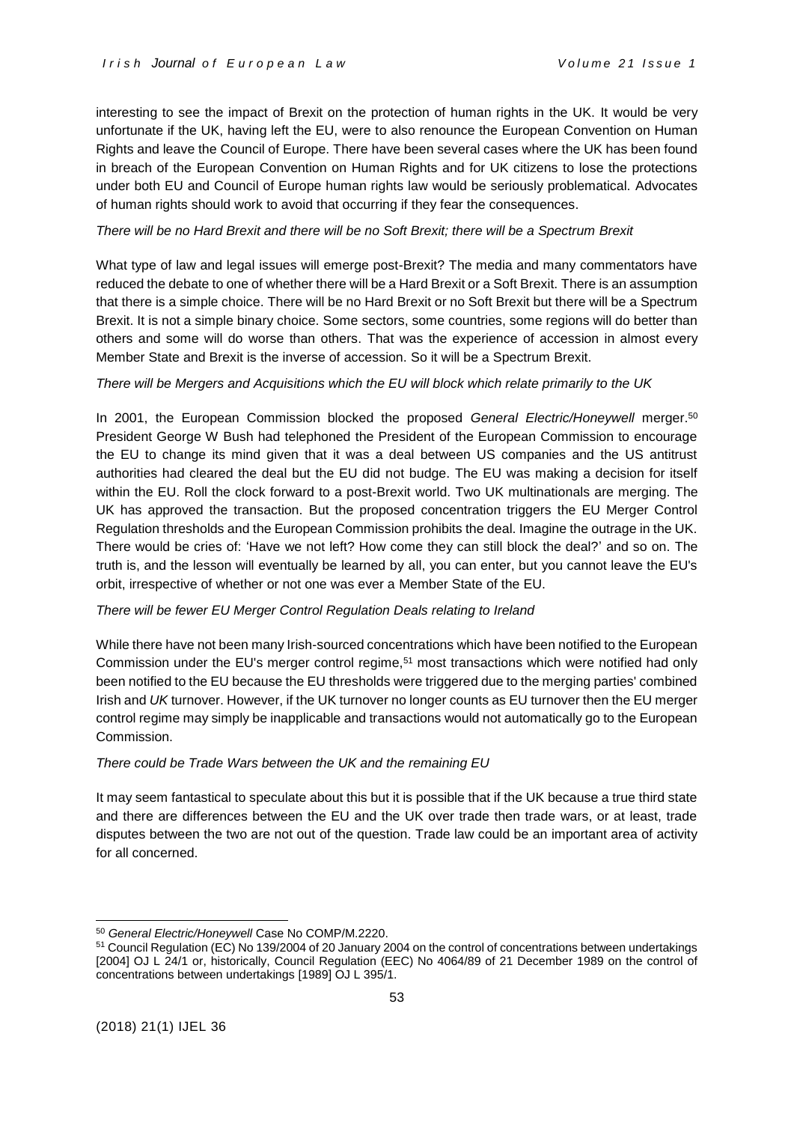interesting to see the impact of Brexit on the protection of human rights in the UK. It would be very unfortunate if the UK, having left the EU, were to also renounce the European Convention on Human Rights and leave the Council of Europe. There have been several cases where the UK has been found in breach of the European Convention on Human Rights and for UK citizens to lose the protections under both EU and Council of Europe human rights law would be seriously problematical. Advocates of human rights should work to avoid that occurring if they fear the consequences.

## *There will be no Hard Brexit and there will be no Soft Brexit; there will be a Spectrum Brexit*

What type of law and legal issues will emerge post-Brexit? The media and many commentators have reduced the debate to one of whether there will be a Hard Brexit or a Soft Brexit. There is an assumption that there is a simple choice. There will be no Hard Brexit or no Soft Brexit but there will be a Spectrum Brexit. It is not a simple binary choice. Some sectors, some countries, some regions will do better than others and some will do worse than others. That was the experience of accession in almost every Member State and Brexit is the inverse of accession. So it will be a Spectrum Brexit.

## *There will be Mergers and Acquisitions which the EU will block which relate primarily to the UK*

In 2001, the European Commission blocked the proposed *General Electric/Honeywell* merger.<sup>50</sup> President George W Bush had telephoned the President of the European Commission to encourage the EU to change its mind given that it was a deal between US companies and the US antitrust authorities had cleared the deal but the EU did not budge. The EU was making a decision for itself within the EU. Roll the clock forward to a post-Brexit world. Two UK multinationals are merging. The UK has approved the transaction. But the proposed concentration triggers the EU Merger Control Regulation thresholds and the European Commission prohibits the deal. Imagine the outrage in the UK. There would be cries of: 'Have we not left? How come they can still block the deal?' and so on. The truth is, and the lesson will eventually be learned by all, you can enter, but you cannot leave the EU's orbit, irrespective of whether or not one was ever a Member State of the EU.

# *There will be fewer EU Merger Control Regulation Deals relating to Ireland*

While there have not been many Irish-sourced concentrations which have been notified to the European Commission under the EU's merger control regime,<sup>51</sup> most transactions which were notified had only been notified to the EU because the EU thresholds were triggered due to the merging parties' combined Irish and *UK* turnover. However, if the UK turnover no longer counts as EU turnover then the EU merger control regime may simply be inapplicable and transactions would not automatically go to the European Commission.

# *There could be Trade Wars between the UK and the remaining EU*

It may seem fantastical to speculate about this but it is possible that if the UK because a true third state and there are differences between the EU and the UK over trade then trade wars, or at least, trade disputes between the two are not out of the question. Trade law could be an important area of activity for all concerned.

<sup>1</sup> <sup>50</sup> *General Electric/Honeywell* Case No COMP/M.2220.

<sup>51</sup> Council Regulation (EC) No 139/2004 of 20 January 2004 on the control of concentrations between undertakings [2004] OJ L 24/1 or, historically, Council Regulation (EEC) No 4064/89 of 21 December 1989 on the control of concentrations between undertakings [1989] OJ L 395/1.